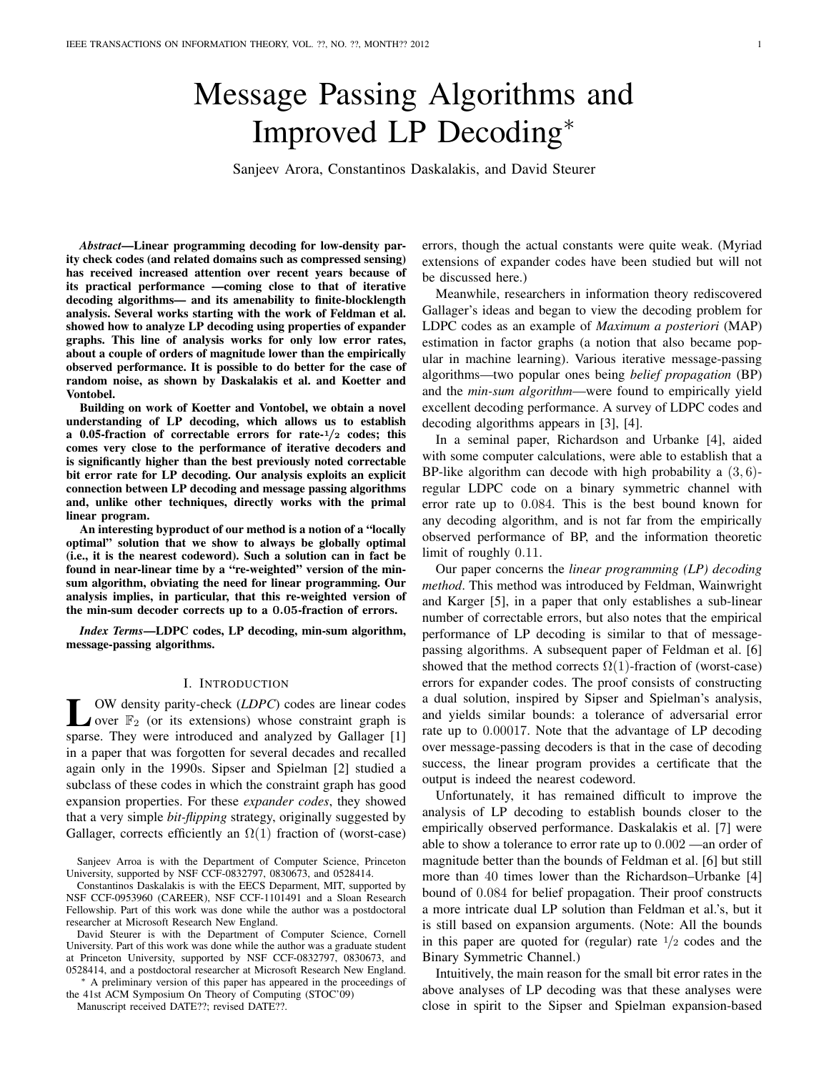# Message Passing Algorithms and Improved LP Decoding<sup>∗</sup>

Sanjeev Arora, Constantinos Daskalakis, and David Steurer

*Abstract*—Linear programming decoding for low-density parity check codes (and related domains such as compressed sensing) has received increased attention over recent years because of its practical performance —coming close to that of iterative decoding algorithms— and its amenability to finite-blocklength analysis. Several works starting with the work of Feldman et al. showed how to analyze LP decoding using properties of expander graphs. This line of analysis works for only low error rates, about a couple of orders of magnitude lower than the empirically observed performance. It is possible to do better for the case of random noise, as shown by Daskalakis et al. and Koetter and Vontobel.

Building on work of Koetter and Vontobel, we obtain a novel understanding of LP decoding, which allows us to establish a 0.05-fraction of correctable errors for rate- $1/2$  codes; this comes very close to the performance of iterative decoders and is significantly higher than the best previously noted correctable bit error rate for LP decoding. Our analysis exploits an explicit connection between LP decoding and message passing algorithms and, unlike other techniques, directly works with the primal linear program.

An interesting byproduct of our method is a notion of a "locally optimal" solution that we show to always be globally optimal (i.e., it is the nearest codeword). Such a solution can in fact be found in near-linear time by a "re-weighted" version of the minsum algorithm, obviating the need for linear programming. Our analysis implies, in particular, that this re-weighted version of the min-sum decoder corrects up to a 0.05-fraction of errors.

*Index Terms*—LDPC codes, LP decoding, min-sum algorithm, message-passing algorithms.

#### I. INTRODUCTION

 $\sum_{\text{over } \mathbb{F}_2}$  OW density parity-check (*LDPC*) codes are linear codes over  $\mathbb{F}_2$  (or its extensions) whose constraint graph is over  $\mathbb{F}_2$  (or its extensions) whose constraint graph is sparse. They were introduced and analyzed by Gallager [1] in a paper that was forgotten for several decades and recalled again only in the 1990s. Sipser and Spielman [2] studied a subclass of these codes in which the constraint graph has good expansion properties. For these *expander codes*, they showed that a very simple *bit-flipping* strategy, originally suggested by Gallager, corrects efficiently an  $\Omega(1)$  fraction of (worst-case)

Sanjeev Arroa is with the Department of Computer Science, Princeton University, supported by NSF CCF-0832797, 0830673, and 0528414.

Constantinos Daskalakis is with the EECS Deparment, MIT, supported by NSF CCF-0953960 (CAREER), NSF CCF-1101491 and a Sloan Research Fellowship. Part of this work was done while the author was a postdoctoral researcher at Microsoft Research New England.

David Steurer is with the Department of Computer Science, Cornell University. Part of this work was done while the author was a graduate student at Princeton University, supported by NSF CCF-0832797, 0830673, and 0528414, and a postdoctoral researcher at Microsoft Research New England.

<sup>∗</sup> A preliminary version of this paper has appeared in the proceedings of the 41st ACM Symposium On Theory of Computing (STOC'09)

Manuscript received DATE??; revised DATE??.

errors, though the actual constants were quite weak. (Myriad extensions of expander codes have been studied but will not be discussed here.)

Meanwhile, researchers in information theory rediscovered Gallager's ideas and began to view the decoding problem for LDPC codes as an example of *Maximum a posteriori* (MAP) estimation in factor graphs (a notion that also became popular in machine learning). Various iterative message-passing algorithms—two popular ones being *belief propagation* (BP) and the *min-sum algorithm*—were found to empirically yield excellent decoding performance. A survey of LDPC codes and decoding algorithms appears in [3], [4].

In a seminal paper, Richardson and Urbanke [4], aided with some computer calculations, were able to establish that a BP-like algorithm can decode with high probability a  $(3, 6)$ regular LDPC code on a binary symmetric channel with error rate up to 0.084. This is the best bound known for any decoding algorithm, and is not far from the empirically observed performance of BP, and the information theoretic limit of roughly 0.11.

Our paper concerns the *linear programming (LP) decoding method*. This method was introduced by Feldman, Wainwright and Karger [5], in a paper that only establishes a sub-linear number of correctable errors, but also notes that the empirical performance of LP decoding is similar to that of messagepassing algorithms. A subsequent paper of Feldman et al. [6] showed that the method corrects  $\Omega(1)$ -fraction of (worst-case) errors for expander codes. The proof consists of constructing a dual solution, inspired by Sipser and Spielman's analysis, and yields similar bounds: a tolerance of adversarial error rate up to 0.00017. Note that the advantage of LP decoding over message-passing decoders is that in the case of decoding success, the linear program provides a certificate that the output is indeed the nearest codeword.

Unfortunately, it has remained difficult to improve the analysis of LP decoding to establish bounds closer to the empirically observed performance. Daskalakis et al. [7] were able to show a tolerance to error rate up to 0.002 —an order of magnitude better than the bounds of Feldman et al. [6] but still more than 40 times lower than the Richardson–Urbanke [4] bound of 0.084 for belief propagation. Their proof constructs a more intricate dual LP solution than Feldman et al.'s, but it is still based on expansion arguments. (Note: All the bounds in this paper are quoted for (regular) rate  $\frac{1}{2}$  codes and the Binary Symmetric Channel.)

Intuitively, the main reason for the small bit error rates in the above analyses of LP decoding was that these analyses were close in spirit to the Sipser and Spielman expansion-based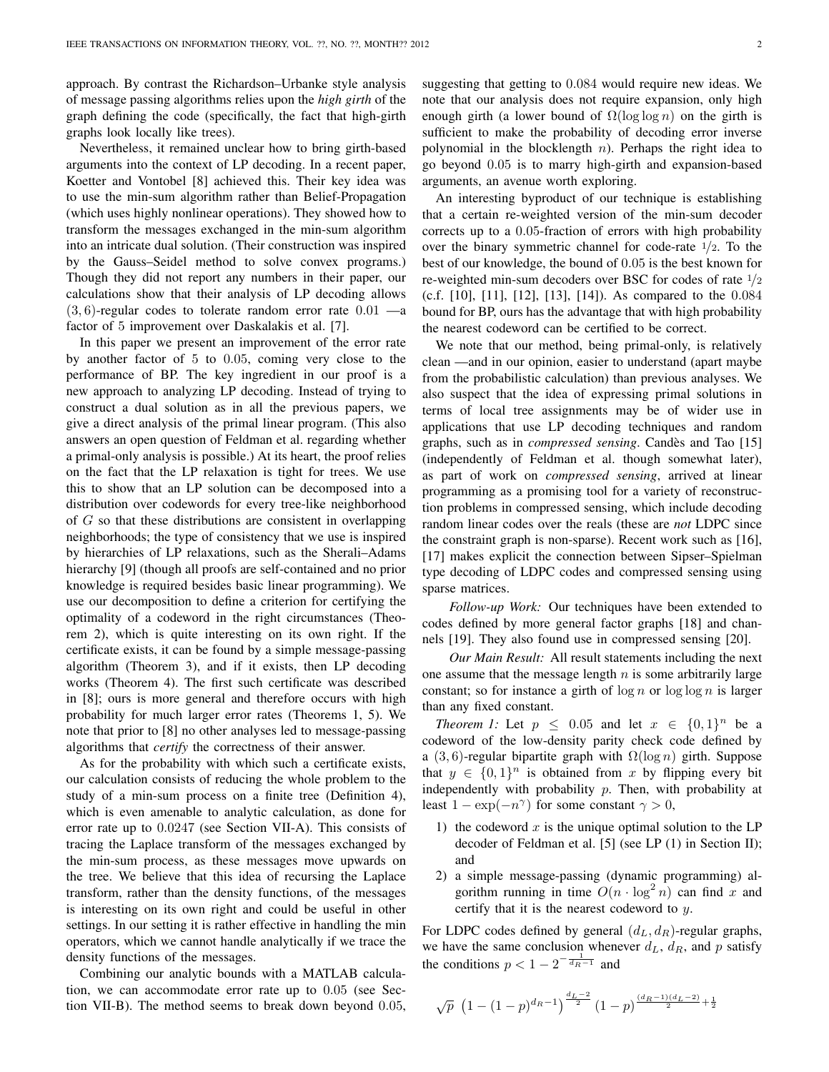approach. By contrast the Richardson–Urbanke style analysis of message passing algorithms relies upon the *high girth* of the graph defining the code (specifically, the fact that high-girth graphs look locally like trees).

Nevertheless, it remained unclear how to bring girth-based arguments into the context of LP decoding. In a recent paper, Koetter and Vontobel [8] achieved this. Their key idea was to use the min-sum algorithm rather than Belief-Propagation (which uses highly nonlinear operations). They showed how to transform the messages exchanged in the min-sum algorithm into an intricate dual solution. (Their construction was inspired by the Gauss–Seidel method to solve convex programs.) Though they did not report any numbers in their paper, our calculations show that their analysis of LP decoding allows  $(3, 6)$ -regular codes to tolerate random error rate  $0.01$  —a factor of 5 improvement over Daskalakis et al. [7].

In this paper we present an improvement of the error rate by another factor of 5 to 0.05, coming very close to the performance of BP. The key ingredient in our proof is a new approach to analyzing LP decoding. Instead of trying to construct a dual solution as in all the previous papers, we give a direct analysis of the primal linear program. (This also answers an open question of Feldman et al. regarding whether a primal-only analysis is possible.) At its heart, the proof relies on the fact that the LP relaxation is tight for trees. We use this to show that an LP solution can be decomposed into a distribution over codewords for every tree-like neighborhood of  $G$  so that these distributions are consistent in overlapping neighborhoods; the type of consistency that we use is inspired by hierarchies of LP relaxations, such as the Sherali–Adams hierarchy [9] (though all proofs are self-contained and no prior knowledge is required besides basic linear programming). We use our decomposition to define a criterion for certifying the optimality of a codeword in the right circumstances (Theorem 2), which is quite interesting on its own right. If the certificate exists, it can be found by a simple message-passing algorithm (Theorem 3), and if it exists, then LP decoding works (Theorem 4). The first such certificate was described in [8]; ours is more general and therefore occurs with high probability for much larger error rates (Theorems 1, 5). We note that prior to [8] no other analyses led to message-passing algorithms that *certify* the correctness of their answer.

As for the probability with which such a certificate exists, our calculation consists of reducing the whole problem to the study of a min-sum process on a finite tree (Definition 4), which is even amenable to analytic calculation, as done for error rate up to 0.0247 (see Section VII-A). This consists of tracing the Laplace transform of the messages exchanged by the min-sum process, as these messages move upwards on the tree. We believe that this idea of recursing the Laplace transform, rather than the density functions, of the messages is interesting on its own right and could be useful in other settings. In our setting it is rather effective in handling the min operators, which we cannot handle analytically if we trace the density functions of the messages.

Combining our analytic bounds with a MATLAB calculation, we can accommodate error rate up to 0.05 (see Section VII-B). The method seems to break down beyond 0.05, suggesting that getting to 0.084 would require new ideas. We note that our analysis does not require expansion, only high enough girth (a lower bound of  $\Omega(\log \log n)$  on the girth is sufficient to make the probability of decoding error inverse polynomial in the blocklength  $n$ ). Perhaps the right idea to go beyond 0.05 is to marry high-girth and expansion-based arguments, an avenue worth exploring.

An interesting byproduct of our technique is establishing that a certain re-weighted version of the min-sum decoder corrects up to a 0.05-fraction of errors with high probability over the binary symmetric channel for code-rate  $1/2$ . To the best of our knowledge, the bound of 0.05 is the best known for re-weighted min-sum decoders over BSC for codes of rate <sup>1</sup>/<sup>2</sup> (c.f. [10], [11], [12], [13], [14]). As compared to the 0.084 bound for BP, ours has the advantage that with high probability the nearest codeword can be certified to be correct.

We note that our method, being primal-only, is relatively clean —and in our opinion, easier to understand (apart maybe from the probabilistic calculation) than previous analyses. We also suspect that the idea of expressing primal solutions in terms of local tree assignments may be of wider use in applications that use LP decoding techniques and random graphs, such as in *compressed sensing*. Candes and Tao [15] ` (independently of Feldman et al. though somewhat later), as part of work on *compressed sensing*, arrived at linear programming as a promising tool for a variety of reconstruction problems in compressed sensing, which include decoding random linear codes over the reals (these are *not* LDPC since the constraint graph is non-sparse). Recent work such as [16], [17] makes explicit the connection between Sipser–Spielman type decoding of LDPC codes and compressed sensing using sparse matrices.

*Follow-up Work:* Our techniques have been extended to codes defined by more general factor graphs [18] and channels [19]. They also found use in compressed sensing [20].

*Our Main Result:* All result statements including the next one assume that the message length  $n$  is some arbitrarily large constant; so for instance a girth of  $\log n$  or  $\log \log n$  is larger than any fixed constant.

*Theorem 1:* Let  $p \leq 0.05$  and let  $x \in \{0,1\}^n$  be a codeword of the low-density parity check code defined by a (3, 6)-regular bipartite graph with  $\Omega(\log n)$  girth. Suppose that  $y \in \{0,1\}^n$  is obtained from x by flipping every bit independently with probability  $p$ . Then, with probability at least  $1 - \exp(-n^{\gamma})$  for some constant  $\gamma > 0$ ,

- 1) the codeword  $x$  is the unique optimal solution to the LP decoder of Feldman et al. [5] (see LP (1) in Section II); and
- 2) a simple message-passing (dynamic programming) algorithm running in time  $O(n \cdot \log^2 n)$  can find x and certify that it is the nearest codeword to y.

For LDPC codes defined by general  $(d_L, d_R)$ -regular graphs, we have the same conclusion whenever  $d_L$ ,  $d_R$ , and p satisfy the conditions  $p < 1 - 2^{-\frac{1}{d_R - 1}}$  and

$$
\sqrt{p} \ \left( 1 - (1-p)^{d_R-1} \right)^{\frac{d_L-2}{2}} (1-p)^{\frac{(d_R-1)(d_L-2)}{2} + \frac{1}{2}}
$$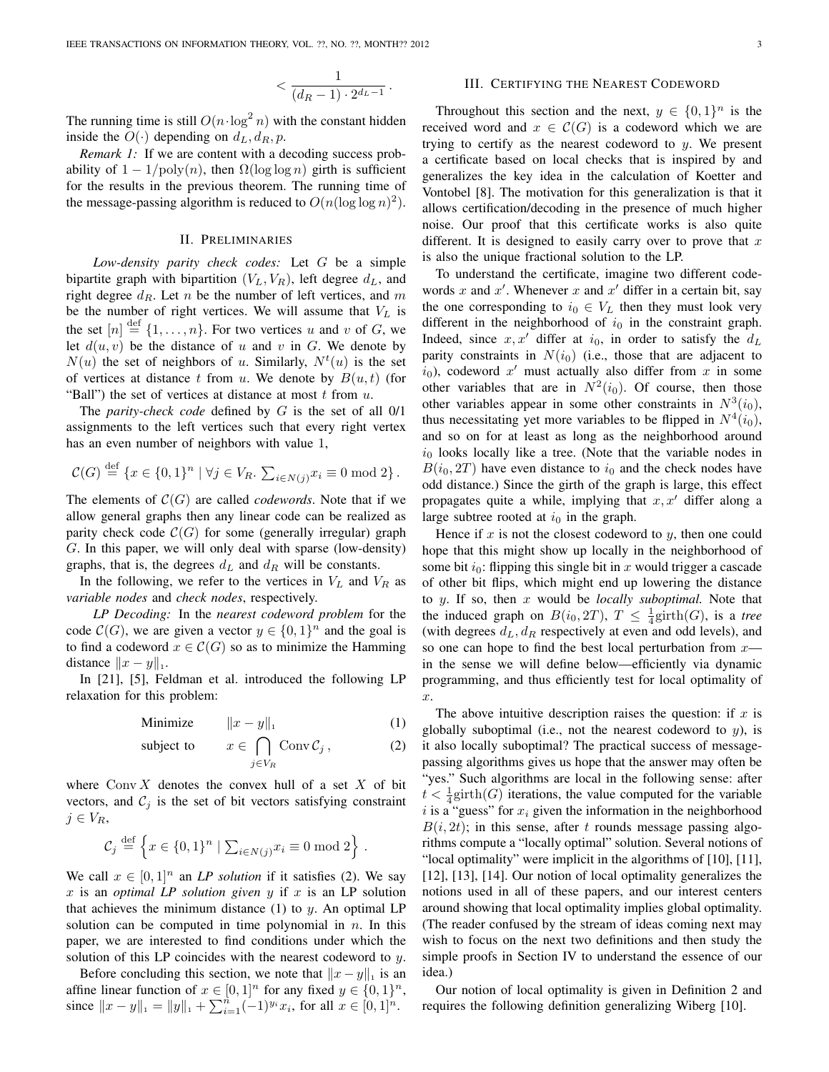$$
< \frac{1}{(d_R-1)\cdot 2^{d_L-1}}.
$$

The running time is still  $O(n \cdot \log^2 n)$  with the constant hidden inside the  $O(\cdot)$  depending on  $d_L, d_R, p$ .

*Remark 1:* If we are content with a decoding success probability of  $1 - 1/\text{poly}(n)$ , then  $\Omega(\log \log n)$  girth is sufficient for the results in the previous theorem. The running time of the message-passing algorithm is reduced to  $O(n(\log \log n)^2)$ .

### II. PRELIMINARIES

*Low-density parity check codes:* Let G be a simple bipartite graph with bipartition  $(V_L, V_R)$ , left degree  $d_L$ , and right degree  $d_R$ . Let n be the number of left vertices, and m be the number of right vertices. We will assume that  $V_L$  is the set  $[n] \stackrel{\text{def}}{=} \{1, \ldots, n\}$ . For two vertices u and v of G, we let  $d(u, v)$  be the distance of u and v in G. We denote by  $N(u)$  the set of neighbors of u. Similarly,  $N<sup>t</sup>(u)$  is the set of vertices at distance t from u. We denote by  $B(u, t)$  (for "Ball") the set of vertices at distance at most  $t$  from  $u$ .

The *parity-check code* defined by G is the set of all 0/1 assignments to the left vertices such that every right vertex has an even number of neighbors with value 1,

$$
\mathcal{C}(G) \stackrel{\text{def}}{=} \{x \in \{0,1\}^n \mid \forall j \in V_R. \sum_{i \in N(j)} x_i \equiv 0 \bmod 2\}.
$$

The elements of  $C(G)$  are called *codewords*. Note that if we allow general graphs then any linear code can be realized as parity check code  $C(G)$  for some (generally irregular) graph G. In this paper, we will only deal with sparse (low-density) graphs, that is, the degrees  $d<sub>L</sub>$  and  $d<sub>R</sub>$  will be constants.

In the following, we refer to the vertices in  $V_L$  and  $V_R$  as *variable nodes* and *check nodes*, respectively.

*LP Decoding:* In the *nearest codeword problem* for the code  $C(G)$ , we are given a vector  $y \in \{0,1\}^n$  and the goal is to find a codeword  $x \in \mathcal{C}(G)$  so as to minimize the Hamming distance  $||x - y||_1$ .

In [21], [5], Feldman et al. introduced the following LP relaxation for this problem:

$$
\text{Minimize} \qquad \|x - y\|_1 \tag{1}
$$

subject to 
$$
x \in \bigcap_{j \in V_R} \text{Conv } C_j
$$
, (2)

where  $Conv X$  denotes the convex hull of a set X of bit vectors, and  $C_j$  is the set of bit vectors satisfying constraint  $j \in V_R$ ,

$$
\mathcal{C}_j \stackrel{\text{def}}{=} \left\{ x \in \{0,1\}^n \mid \sum_{i \in N(j)} x_i \equiv 0 \bmod 2 \right\}.
$$

We call  $x \in [0, 1]^n$  an *LP solution* if it satisfies (2). We say  $x$  is an *optimal LP solution given*  $y$  if  $x$  is an LP solution that achieves the minimum distance  $(1)$  to y. An optimal LP solution can be computed in time polynomial in  $n$ . In this paper, we are interested to find conditions under which the solution of this LP coincides with the nearest codeword to  $y$ .

Before concluding this section, we note that  $||x - y||_1$  is an affine linear function of  $x \in [0,1]^n$  for any fixed  $y \in \{0,1\}^n$ , since  $||x - y||_1 = ||y||_1 + \sum_{i=1}^{n} (-1)^{y_i} x_i$ , for all  $x \in [0, 1]^n$ .

#### III. CERTIFYING THE NEAREST CODEWORD

Throughout this section and the next,  $y \in \{0,1\}^n$  is the received word and  $x \in \mathcal{C}(G)$  is a codeword which we are trying to certify as the nearest codeword to  $y$ . We present a certificate based on local checks that is inspired by and generalizes the key idea in the calculation of Koetter and Vontobel [8]. The motivation for this generalization is that it allows certification/decoding in the presence of much higher noise. Our proof that this certificate works is also quite different. It is designed to easily carry over to prove that  $x$ is also the unique fractional solution to the LP.

To understand the certificate, imagine two different codewords x and x'. Whenever x and x' differ in a certain bit, say the one corresponding to  $i_0 \in V_L$  then they must look very different in the neighborhood of  $i_0$  in the constraint graph. Indeed, since  $x, x'$  differ at  $i_0$ , in order to satisfy the  $d<sub>L</sub>$ parity constraints in  $N(i_0)$  (i.e., those that are adjacent to  $i_0$ ), codeword  $x'$  must actually also differ from  $x$  in some other variables that are in  $N^2(i_0)$ . Of course, then those other variables appear in some other constraints in  $N^3(i_0)$ , thus necessitating yet more variables to be flipped in  $N^4(i_0)$ , and so on for at least as long as the neighborhood around  $i_0$  looks locally like a tree. (Note that the variable nodes in  $B(i_0, 2T)$  have even distance to  $i_0$  and the check nodes have odd distance.) Since the girth of the graph is large, this effect propagates quite a while, implying that  $x, x'$  differ along a large subtree rooted at  $i_0$  in the graph.

Hence if  $x$  is not the closest codeword to  $y$ , then one could hope that this might show up locally in the neighborhood of some bit  $i_0$ : flipping this single bit in x would trigger a cascade of other bit flips, which might end up lowering the distance to y. If so, then x would be *locally suboptimal.* Note that the induced graph on  $B(i_0, 2T)$ ,  $T \n\leq \frac{1}{4}$ girth $(G)$ , is a *tree* (with degrees  $d_L, d_R$  respectively at even and odd levels), and so one can hope to find the best local perturbation from  $x$  in the sense we will define below—efficiently via dynamic programming, and thus efficiently test for local optimality of x.

The above intuitive description raises the question: if  $x$  is globally suboptimal (i.e., not the nearest codeword to  $y$ ), is it also locally suboptimal? The practical success of messagepassing algorithms gives us hope that the answer may often be "yes." Such algorithms are local in the following sense: after  $t < \frac{1}{4}$ girth $(G)$  iterations, the value computed for the variable i is a "guess" for  $x_i$  given the information in the neighborhood  $B(i, 2t)$ ; in this sense, after t rounds message passing algorithms compute a "locally optimal" solution. Several notions of "local optimality" were implicit in the algorithms of [10], [11], [12], [13], [14]. Our notion of local optimality generalizes the notions used in all of these papers, and our interest centers around showing that local optimality implies global optimality. (The reader confused by the stream of ideas coming next may wish to focus on the next two definitions and then study the simple proofs in Section IV to understand the essence of our idea.)

Our notion of local optimality is given in Definition 2 and requires the following definition generalizing Wiberg [10].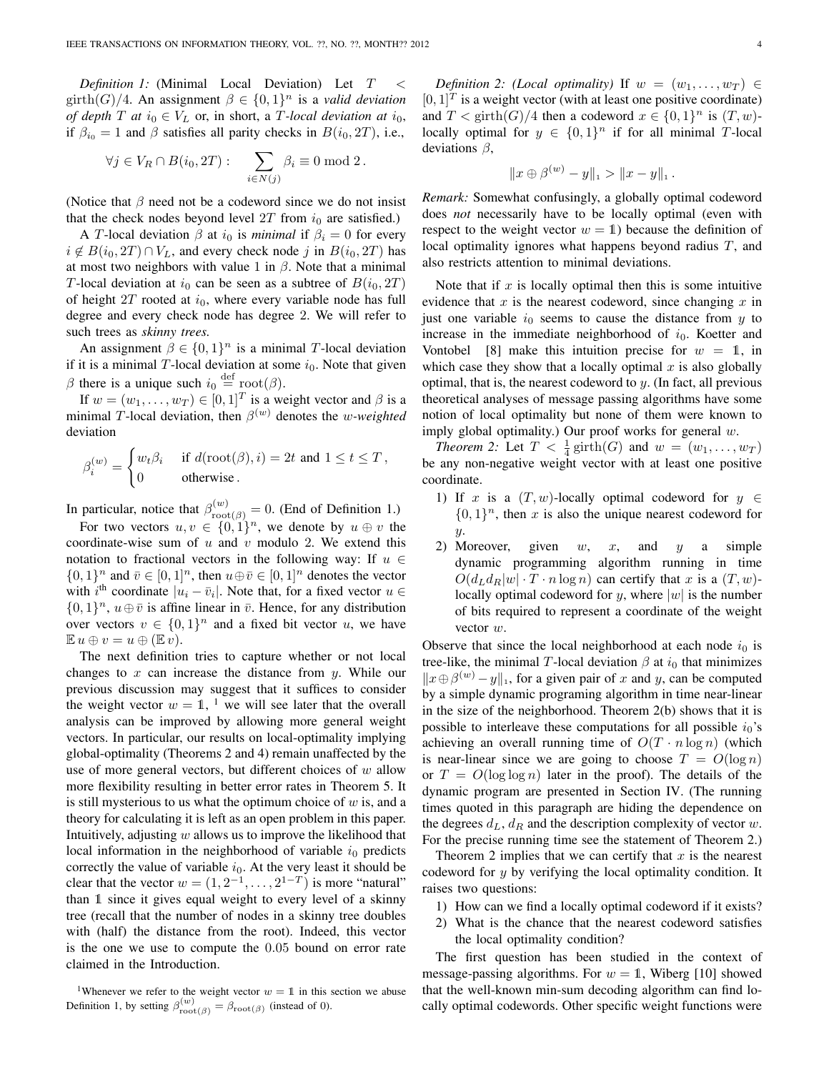*Definition 1:* (Minimal Local Deviation) Let  $T <$ girth(G)/4. An assignment  $\beta \in \{0,1\}^n$  is a *valid deviation of depth*  $T$  *at*  $i_0 \in V_L$  or, in short, a  $T$ -local deviation at  $i_0$ , if  $\beta_{i_0} = 1$  and  $\beta$  satisfies all parity checks in  $B(i_0, 2T)$ , i.e.,

$$
\forall j \in V_R \cap B(i_0, 2T) : \quad \sum_{i \in N(j)} \beta_i \equiv 0 \bmod 2.
$$

(Notice that  $\beta$  need not be a codeword since we do not insist that the check nodes beyond level  $2T$  from  $i_0$  are satisfied.)

A T-local deviation  $\beta$  at  $i_0$  is *minimal* if  $\beta_i = 0$  for every  $i \notin B(i_0, 2T) \cap V_L$ , and every check node j in  $B(i_0, 2T)$  has at most two neighbors with value 1 in  $\beta$ . Note that a minimal T-local deviation at  $i_0$  can be seen as a subtree of  $B(i_0, 2T)$ of height  $2T$  rooted at  $i_0$ , where every variable node has full degree and every check node has degree 2. We will refer to such trees as *skinny trees.*

An assignment  $\beta \in \{0,1\}^n$  is a minimal T-local deviation if it is a minimal  $T$ -local deviation at some  $i_0$ . Note that given  $\beta$  there is a unique such  $i_0 \stackrel{\text{def}}{=} \text{root}(\beta)$ .

If  $w = (w_1, \dots, w_T) \in [0, 1]^T$  is a weight vector and  $\beta$  is a minimal T-local deviation, then  $\beta^{(w)}$  denotes the *w-weighted* deviation

$$
\beta_i^{(w)} = \begin{cases} w_t \beta_i & \text{if } d(\text{root}(\beta), i) = 2t \text{ and } 1 \le t \le T, \\ 0 & \text{otherwise.} \end{cases}
$$

In particular, notice that  $\beta_{\text{root}(\beta)}^{(w)} = 0$ . (End of Definition 1.)

For two vectors  $u, v \in \{0, 1\}^n$ , we denote by  $u \oplus v$  the coordinate-wise sum of  $u$  and  $v$  modulo 2. We extend this notation to fractional vectors in the following way: If  $u \in$  $\{0,1\}^n$  and  $\bar{v} \in [0,1]^n$ , then  $u \oplus \bar{v} \in [0,1]^n$  denotes the vector with  $i^{\text{th}}$  coordinate  $|u_i - \bar{v}_i|$ . Note that, for a fixed vector  $u \in$  $\{0,1\}^n$ ,  $u \oplus \overline{v}$  is affine linear in  $\overline{v}$ . Hence, for any distribution over vectors  $v \in \{0,1\}^n$  and a fixed bit vector u, we have  $\mathbb{E} u \oplus v = u \oplus (\mathbb{E} v).$ 

The next definition tries to capture whether or not local changes to  $x$  can increase the distance from  $y$ . While our previous discussion may suggest that it suffices to consider the weight vector  $w = 1$ , <sup>1</sup> we will see later that the overall analysis can be improved by allowing more general weight vectors. In particular, our results on local-optimality implying global-optimality (Theorems 2 and 4) remain unaffected by the use of more general vectors, but different choices of  $w$  allow more flexibility resulting in better error rates in Theorem 5. It is still mysterious to us what the optimum choice of  $w$  is, and a theory for calculating it is left as an open problem in this paper. Intuitively, adjusting  $w$  allows us to improve the likelihood that local information in the neighborhood of variable  $i_0$  predicts correctly the value of variable  $i_0$ . At the very least it should be clear that the vector  $w = (1, 2^{-1}, \dots, 2^{1-T})$  is more "natural" than 1 since it gives equal weight to every level of a skinny tree (recall that the number of nodes in a skinny tree doubles with (half) the distance from the root). Indeed, this vector is the one we use to compute the 0.05 bound on error rate claimed in the Introduction.

*Definition 2: (Local optimality)* If  $w = (w_1, \ldots, w_T) \in$  $[0, 1]^T$  is a weight vector (with at least one positive coordinate) and  $T < \text{girth}(G)/4$  then a codeword  $x \in \{0,1\}^n$  is  $(T, w)$ locally optimal for  $y \in \{0,1\}^n$  if for all minimal T-local deviations  $\beta$ ,

$$
||x \oplus \beta^{(w)} - y||_1 > ||x - y||_1.
$$

*Remark:* Somewhat confusingly, a globally optimal codeword does *not* necessarily have to be locally optimal (even with respect to the weight vector  $w = 1$ ) because the definition of local optimality ignores what happens beyond radius T, and also restricts attention to minimal deviations.

Note that if  $x$  is locally optimal then this is some intuitive evidence that  $x$  is the nearest codeword, since changing  $x$  in just one variable  $i_0$  seems to cause the distance from  $y$  to increase in the immediate neighborhood of  $i_0$ . Koetter and Vontobel [8] make this intuition precise for  $w = 1$ , in which case they show that a locally optimal  $x$  is also globally optimal, that is, the nearest codeword to  $y$ . (In fact, all previous theoretical analyses of message passing algorithms have some notion of local optimality but none of them were known to imply global optimality.) Our proof works for general  $w$ .

*Theorem 2:* Let  $T < \frac{1}{4} \text{girth}(G)$  and  $w = (w_1, \ldots, w_T)$ be any non-negative weight vector with at least one positive coordinate.

- 1) If x is a  $(T, w)$ -locally optimal codeword for  $y \in$  $\{0, 1\}^n$ , then x is also the unique nearest codeword for  $y<sub>r</sub>$
- 2) Moreover, given  $w$ ,  $x$ , and  $y$  a simple dynamic programming algorithm running in time  $O(d_L d_R |w| \cdot T \cdot n \log n)$  can certify that x is a  $(T, w)$ locally optimal codeword for y, where  $|w|$  is the number of bits required to represent a coordinate of the weight vector w.

Observe that since the local neighborhood at each node  $i_0$  is tree-like, the minimal T-local deviation  $\beta$  at  $i_0$  that minimizes  $||x \oplus \beta^{(w)} - y||_1$ , for a given pair of x and y, can be computed by a simple dynamic programing algorithm in time near-linear in the size of the neighborhood. Theorem 2(b) shows that it is possible to interleave these computations for all possible  $i_0$ 's achieving an overall running time of  $O(T \cdot n \log n)$  (which is near-linear since we are going to choose  $T = O(\log n)$ or  $T = O(\log \log n)$  later in the proof). The details of the dynamic program are presented in Section IV. (The running times quoted in this paragraph are hiding the dependence on the degrees  $d_L$ ,  $d_R$  and the description complexity of vector w. For the precise running time see the statement of Theorem 2.)

Theorem 2 implies that we can certify that  $x$  is the nearest codeword for y by verifying the local optimality condition. It raises two questions:

- 1) How can we find a locally optimal codeword if it exists?
- 2) What is the chance that the nearest codeword satisfies the local optimality condition?

The first question has been studied in the context of message-passing algorithms. For  $w = 1$ , Wiberg [10] showed that the well-known min-sum decoding algorithm can find locally optimal codewords. Other specific weight functions were

<sup>&</sup>lt;sup>1</sup>Whenever we refer to the weight vector  $w = 1$  in this section we abuse Definition 1, by setting  $\beta_{\text{root}(\beta)}^{(w)} = \beta_{\text{root}(\beta)}$  (instead of 0).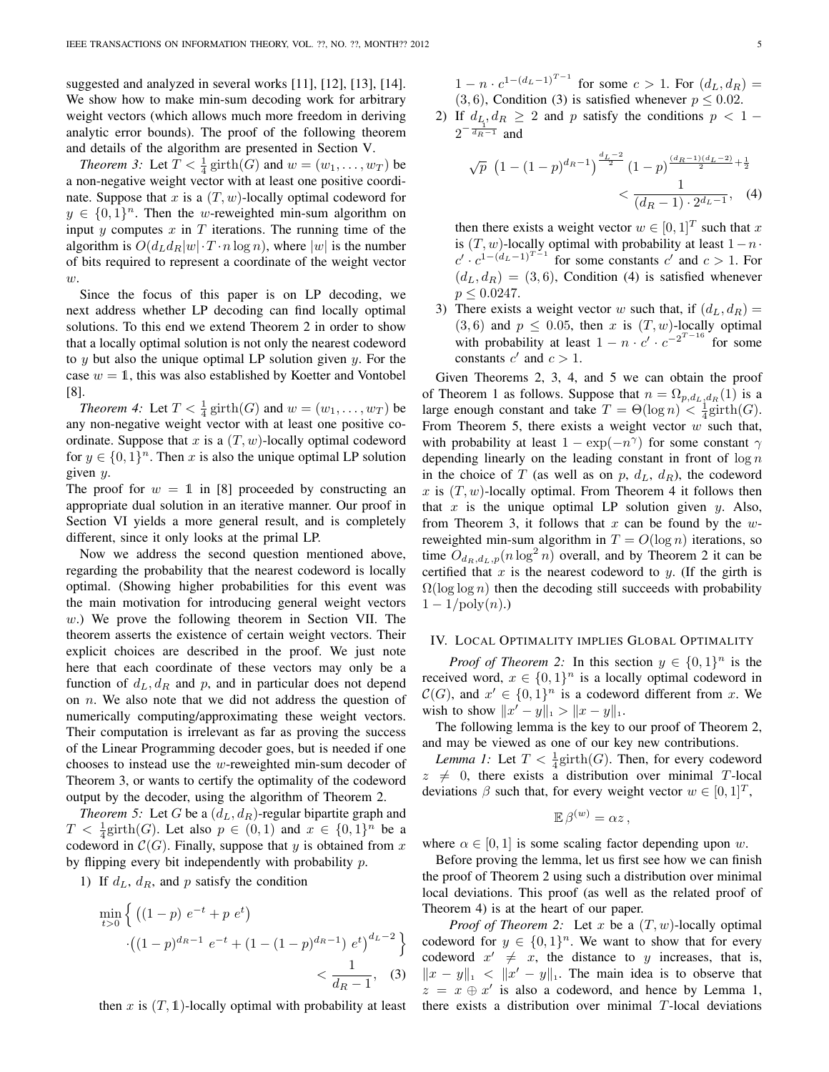suggested and analyzed in several works [11], [12], [13], [14]. We show how to make min-sum decoding work for arbitrary weight vectors (which allows much more freedom in deriving analytic error bounds). The proof of the following theorem and details of the algorithm are presented in Section V.

*Theorem 3:* Let  $T < \frac{1}{4} \text{ girth}(G)$  and  $w = (w_1, \dots, w_T)$  be a non-negative weight vector with at least one positive coordinate. Suppose that x is a  $(T, w)$ -locally optimal codeword for  $y \in \{0,1\}^n$ . Then the w-reweighted min-sum algorithm on input  $y$  computes  $x$  in  $T$  iterations. The running time of the algorithm is  $O(d_L d_R |w| \cdot T \cdot n \log n)$ , where  $|w|$  is the number of bits required to represent a coordinate of the weight vector  $w.$ 

Since the focus of this paper is on LP decoding, we next address whether LP decoding can find locally optimal solutions. To this end we extend Theorem 2 in order to show that a locally optimal solution is not only the nearest codeword to  $y$  but also the unique optimal LP solution given  $y$ . For the case  $w = 1$ , this was also established by Koetter and Vontobel [8].

*Theorem 4:* Let  $T < \frac{1}{4}$  girth(*G*) and  $w = (w_1, \dots, w_T)$  be any non-negative weight vector with at least one positive coordinate. Suppose that x is a  $(T, w)$ -locally optimal codeword for  $y \in \{0, 1\}^n$ . Then x is also the unique optimal LP solution given y.

The proof for  $w = 1$  in [8] proceeded by constructing an appropriate dual solution in an iterative manner. Our proof in Section VI yields a more general result, and is completely different, since it only looks at the primal LP.

Now we address the second question mentioned above, regarding the probability that the nearest codeword is locally optimal. (Showing higher probabilities for this event was the main motivation for introducing general weight vectors w.) We prove the following theorem in Section VII. The theorem asserts the existence of certain weight vectors. Their explicit choices are described in the proof. We just note here that each coordinate of these vectors may only be a function of  $d_L, d_R$  and p, and in particular does not depend on  $n$ . We also note that we did not address the question of numerically computing/approximating these weight vectors. Their computation is irrelevant as far as proving the success of the Linear Programming decoder goes, but is needed if one chooses to instead use the w-reweighted min-sum decoder of Theorem 3, or wants to certify the optimality of the codeword output by the decoder, using the algorithm of Theorem 2.

*Theorem 5:* Let G be a  $(d_L, d_R)$ -regular bipartite graph and  $T < \frac{1}{4}$ girth(G). Let also  $p \in (0,1)$  and  $x \in \{0,1\}^n$  be a codeword in  $\mathcal{C}(G)$ . Finally, suppose that y is obtained from x by flipping every bit independently with probability  $p$ .

1) If  $d_L$ ,  $d_R$ , and p satisfy the condition

$$
\min_{t>0} \left\{ \left( (1-p) \ e^{-t} + p \ e^{t} \right) \right\}
$$

$$
\cdot \left( (1-p)^{d_R - 1} \ e^{-t} + (1 - (1-p)^{d_R - 1}) \ e^{t} \right)^{d_L - 2} \right\}
$$

$$
< \frac{1}{d_R - 1}, \quad (3)
$$

then x is  $(T, 1)$ -locally optimal with probability at least

 $1 - n \cdot c^{1 - (d_L - 1)^{T-1}}$  for some  $c > 1$ . For  $(d_L, d_R) =$  $(3, 6)$ , Condition (3) is satisfied whenever  $p \le 0.02$ .

2) If  $d_L, d_R \geq 2$  and p satisfy the conditions  $p < 1$  –  $2^{-\frac{1}{d_R-1}}$  and

$$
\sqrt{p} \left(1 - (1 - p)^{d_R - 1}\right)^{\frac{d_L - 2}{2}} (1 - p)^{\frac{(d_R - 1)(d_L - 2)}{2} + \frac{1}{2}} < \frac{1}{(d_R - 1) \cdot 2^{d_L - 1}}, \quad (4)
$$

then there exists a weight vector  $w \in [0,1]^T$  such that x is  $(T, w)$ -locally optimal with probability at least  $1 - n \cdot$  $c' \cdot c^{1-(d_L-1)^{T-1}}$  for some constants  $c'$  and  $c > 1$ . For  $(d_L, d_R) = (3, 6)$ , Condition (4) is satisfied whenever  $p \leq 0.0247$ .

3) There exists a weight vector w such that, if  $(d_L, d_R)$  =  $(3, 6)$  and  $p \le 0.05$ , then x is  $(T, w)$ -locally optimal with probability at least  $1 - n \cdot c' \cdot c^{-2^{T-16}}$  for some constants  $c'$  and  $c > 1$ .

Given Theorems 2, 3, 4, and 5 we can obtain the proof of Theorem 1 as follows. Suppose that  $n = \Omega_{p,d_L,d_R}(1)$  is a large enough constant and take  $T = \Theta(\log n) < \frac{1}{4}\text{girth}(G)$ . From Theorem 5, there exists a weight vector  $w$  such that, with probability at least  $1 - \exp(-n^{\gamma})$  for some constant  $\gamma$ depending linearly on the leading constant in front of  $\log n$ in the choice of T (as well as on p,  $d_L$ ,  $d_R$ ), the codeword x is  $(T, w)$ -locally optimal. From Theorem 4 it follows then that  $x$  is the unique optimal LP solution given  $y$ . Also, from Theorem 3, it follows that x can be found by the  $w$ reweighted min-sum algorithm in  $T = O(\log n)$  iterations, so time  $O_{d_R,d_L,p}(n \log^2 n)$  overall, and by Theorem 2 it can be certified that  $x$  is the nearest codeword to  $y$ . (If the girth is  $\Omega(\log \log n)$  then the decoding still succeeds with probability  $1 - 1/\text{poly}(n)$ .)

## IV. LOCAL OPTIMALITY IMPLIES GLOBAL OPTIMALITY

*Proof of Theorem 2:* In this section  $y \in \{0, 1\}^n$  is the received word,  $x \in \{0,1\}^n$  is a locally optimal codeword in  $\mathcal{C}(G)$ , and  $x' \in \{0,1\}^n$  is a codeword different from x. We wish to show  $||x'-y||_1 > ||x-y||_1$ .

The following lemma is the key to our proof of Theorem 2, and may be viewed as one of our key new contributions.

*Lemma 1:* Let  $T < \frac{1}{4}$  girth(G). Then, for every codeword  $z \neq 0$ , there exists a distribution over minimal T-local deviations  $\beta$  such that, for every weight vector  $w \in [0, 1]^T$ ,

$$
\mathbb{E}\,\beta^{(w)}=\alpha z\,,
$$

where  $\alpha \in [0, 1]$  is some scaling factor depending upon w.

Before proving the lemma, let us first see how we can finish the proof of Theorem 2 using such a distribution over minimal local deviations. This proof (as well as the related proof of Theorem 4) is at the heart of our paper.

*Proof of Theorem 2:* Let  $x$  be a  $(T, w)$ -locally optimal codeword for  $y \in \{0,1\}^n$ . We want to show that for every codeword  $x' \neq x$ , the distance to y increases, that is,  $||x - y||_1 < ||x' - y||_1$ . The main idea is to observe that  $z = x \oplus x'$  is also a codeword, and hence by Lemma 1, there exists a distribution over minimal T-local deviations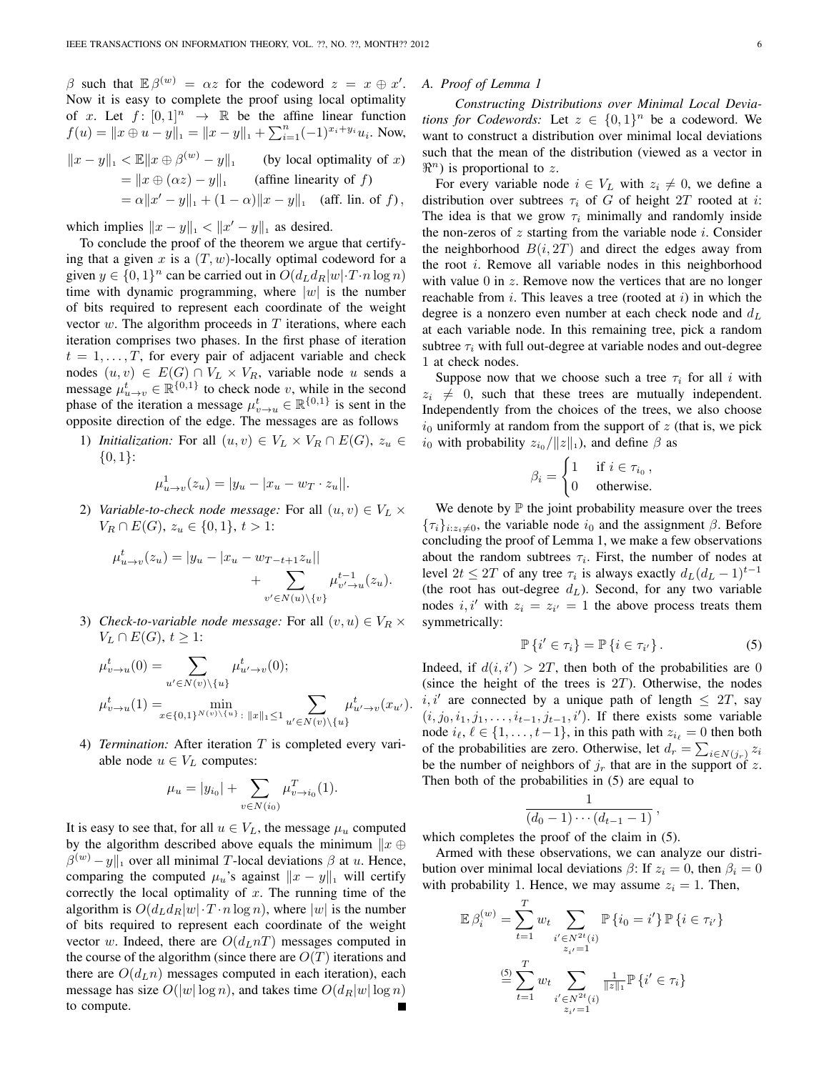β such that  $\mathbb{E} \beta^{(w)} = \alpha z$  for the codeword  $z = x \oplus x'$ . Now it is easy to complete the proof using local optimality of x. Let  $f: [0,1]^n \rightarrow \mathbb{R}$  be the affine linear function  $f(u) = ||x \oplus u - y||_1 = ||x - y||_1 + \sum_{i=1}^n (-1)^{x_i + y_i} u_i$ . Now,  $||x - y||_1 < \mathbb{E}||x \oplus \beta^{(w)} - y||_1$  (by local optimality of x)  $= \|x \oplus (\alpha z) - y\|_1$  (affine linearity of f)  $= \alpha \|x' - y\|_1 + (1 - \alpha) \|x - y\|_1$  (aff. lin. of f),

which implies  $||x - y||_1 < ||x' - y||_1$  as desired.

To conclude the proof of the theorem we argue that certifying that a given x is a  $(T, w)$ -locally optimal codeword for a given  $y \in \{0, 1\}^n$  can be carried out in  $O(d_L d_R |w| \cdot T \cdot n \log n)$ time with dynamic programming, where  $|w|$  is the number of bits required to represent each coordinate of the weight vector  $w$ . The algorithm proceeds in  $T$  iterations, where each iteration comprises two phases. In the first phase of iteration  $t = 1, \ldots, T$ , for every pair of adjacent variable and check nodes  $(u, v) \in E(G) \cap V_L \times V_R$ , variable node u sends a message  $\mu_{u \to v}^t \in \mathbb{R}^{\{0,1\}}$  to check node v, while in the second phase of the iteration a message  $\mu_{v \to u}^t \in \mathbb{R}^{\{0,1\}}$  is sent in the opposite direction of the edge. The messages are as follows

1) *Initialization:* For all  $(u, v) \in V_L \times V_R \cap E(G)$ ,  $z_u \in$  $\{0,1\}$ :

$$
\mu_{u \to v}^1(z_u) = |y_u - x_x - x_T \cdot z_u||.
$$

2) *Variable-to-check node message:* For all  $(u, v) \in V_L \times$  $V_R \cap E(G)$ ,  $z_u \in \{0,1\}$ ,  $t > 1$ :

$$
\mu_{u \to v}^t(z_u) = |y_u - |x_u - w_{T-t+1}z_u|| + \sum_{v' \in N(u) \setminus \{v\}} \mu_{v' \to u}^{t-1}(z_u).
$$

3) *Check-to-variable node message:* For all  $(v, u) \in V_R \times$  $V_L \cap E(G), t \geq 1$ :

$$
\mu_{v \to u}^t(0) = \sum_{u' \in N(v) \backslash \{u\}} \mu_{u' \to v}^t(0);
$$
  

$$
\mu_{v \to u}^t(1) = \min_{x \in \{0,1\}^{N(v) \backslash \{u\}} : ||x||_1 \le 1} \sum_{u' \in N(v) \backslash \{u\}} \mu_{u' \to v}^t(x_{u'}).
$$

4) *Termination:* After iteration T is completed every variable node  $u \in V_L$  computes:

$$
\mu_u = |y_{i_0}| + \sum_{v \in N(i_0)} \mu_{v \to i_0}^T(1).
$$

It is easy to see that, for all  $u \in V_L$ , the message  $\mu_u$  computed by the algorithm described above equals the minimum  $\Vert x \oplus$  $\beta^{(w)} - y \|_1$  over all minimal T-local deviations  $\beta$  at u. Hence, comparing the computed  $\mu_u$ 's against  $||x - y||$ <sub>1</sub> will certify correctly the local optimality of  $x$ . The running time of the algorithm is  $O(d_L d_R |w| \cdot T \cdot n \log n)$ , where  $|w|$  is the number of bits required to represent each coordinate of the weight vector w. Indeed, there are  $O(d_L nT)$  messages computed in the course of the algorithm (since there are  $O(T)$  iterations and there are  $O(d<sub>L</sub>n)$  messages computed in each iteration), each message has size  $O(|w| \log n)$ , and takes time  $O(d_R|w| \log n)$ to compute.

#### *A. Proof of Lemma 1*

*Constructing Distributions over Minimal Local Deviations for Codewords:* Let  $z \in \{0,1\}^n$  be a codeword. We want to construct a distribution over minimal local deviations such that the mean of the distribution (viewed as a vector in  $\Re^n$ ) is proportional to z.

For every variable node  $i \in V_L$  with  $z_i \neq 0$ , we define a distribution over subtrees  $\tau_i$  of G of height  $2T$  rooted at i: The idea is that we grow  $\tau_i$  minimally and randomly inside the non-zeros of  $z$  starting from the variable node  $i$ . Consider the neighborhood  $B(i, 2T)$  and direct the edges away from the root i. Remove all variable nodes in this neighborhood with value  $0$  in  $z$ . Remove now the vertices that are no longer reachable from  $i$ . This leaves a tree (rooted at  $i$ ) in which the degree is a nonzero even number at each check node and  $d<sub>L</sub>$ at each variable node. In this remaining tree, pick a random subtree  $\tau_i$  with full out-degree at variable nodes and out-degree 1 at check nodes.

Suppose now that we choose such a tree  $\tau_i$  for all i with  $z_i \neq 0$ , such that these trees are mutually independent. Independently from the choices of the trees, we also choose  $i_0$  uniformly at random from the support of z (that is, we pick  $i_0$  with probability  $z_{i_0}/||z||_1$ ), and define  $\beta$  as

$$
\beta_i = \begin{cases} 1 & \text{if } i \in \tau_{i_0}, \\ 0 & \text{otherwise.} \end{cases}
$$

We denote by  $\mathbb P$  the joint probability measure over the trees  ${\{\tau_i\}}_{i:z_i\neq0}$ , the variable node  $i_0$  and the assignment  $\beta$ . Before concluding the proof of Lemma 1, we make a few observations about the random subtrees  $\tau_i$ . First, the number of nodes at level  $2t \leq 2T$  of any tree  $\tau_i$  is always exactly  $d_L(d_L - 1)^{t-1}$ (the root has out-degree  $d_L$ ). Second, for any two variable nodes i, i' with  $z_i = z_{i'} = 1$  the above process treats them symmetrically:

$$
\mathbb{P}\left\{i'\in\tau_{i}\right\}=\mathbb{P}\left\{i\in\tau_{i'}\right\}.
$$
 (5)

Indeed, if  $d(i, i') > 2T$ , then both of the probabilities are 0 (since the height of the trees is  $2T$ ). Otherwise, the nodes i, i' are connected by a unique path of length  $\leq 2T$ , say  $(i, j_0, i_1, j_1, \ldots, i_{t-1}, j_{t-1}, i')$ . If there exists some variable node  $i_{\ell}, \ell \in \{1, \ldots, t-1\}$ , in this path with  $z_{i_{\ell}} = 0$  then both of the probabilities are zero. Otherwise, let  $d_r = \sum_{i \in N(j_r)} z_i$ be the number of neighbors of  $j_r$  that are in the support of z. Then both of the probabilities in (5) are equal to

$$
\frac{1}{(d_0-1)\cdots(d_{t-1}-1)},
$$

which completes the proof of the claim in (5).

Armed with these observations, we can analyze our distribution over minimal local deviations  $\beta$ : If  $z_i = 0$ , then  $\beta_i = 0$ with probability 1. Hence, we may assume  $z_i = 1$ . Then,

$$
\mathbb{E} \beta_i^{(w)} = \sum_{t=1}^T w_t \sum_{\substack{i' \in N^{2t}(i) \\ z_{i'} = 1}} \mathbb{P} \{i_0 = i'\} \mathbb{P} \{i \in \tau_{i'}\}
$$

$$
\stackrel{\text{(5)}}{=} \sum_{t=1}^T w_t \sum_{\substack{i' \in N^{2t}(i) \\ z_{i'} = 1}} \frac{1}{\|z\|_1} \mathbb{P} \{i' \in \tau_i\}
$$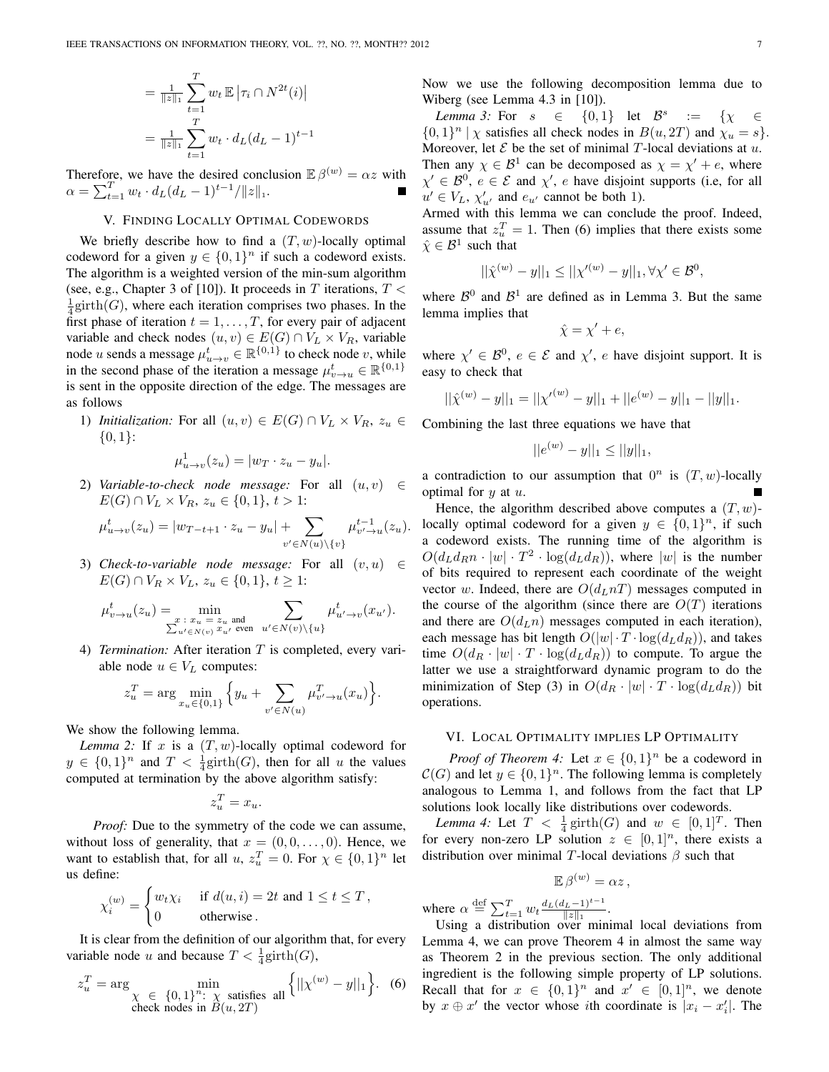$$
= \frac{1}{\|z\|_1} \sum_{t=1}^T w_t \mathbb{E} \left| \tau_i \cap N^{2t}(i) \right|
$$
  

$$
= \frac{1}{\|z\|_1} \sum_{t=1}^T w_t \cdot d_L (d_L - 1)^{t-1}
$$

Therefore, we have the desired conclusion  $\mathbb{E} \beta^{(w)} = \alpha z$  with  $\alpha = \sum_{t=1}^{T} w_t \cdot d_L (d_L - 1)^{t-1} / ||z||_1.$ 

## V. FINDING LOCALLY OPTIMAL CODEWORDS

We briefly describe how to find a  $(T, w)$ -locally optimal codeword for a given  $y \in \{0, 1\}^n$  if such a codeword exists. The algorithm is a weighted version of the min-sum algorithm (see, e.g., Chapter 3 of [10]). It proceeds in T iterations,  $T <$  $\frac{1}{4}$ girth(*G*), where each iteration comprises two phases. In the first phase of iteration  $t = 1, \ldots, T$ , for every pair of adjacent variable and check nodes  $(u, v) \in E(G) \cap V_L \times V_R$ , variable node u sends a message  $\mu_{u \to v}^t \in \mathbb{R}^{\{0,1\}}$  to check node v, while in the second phase of the iteration a message  $\mu_{v \to u}^t \in \mathbb{R}^{\{0,1\}}$ is sent in the opposite direction of the edge. The messages are as follows

1) *Initialization:* For all  $(u, v) \in E(G) \cap V_L \times V_R$ ,  $z_u \in$  $\{0,1\}$ :

$$
\mu^1_{u \to v}(z_u) = |w_T \cdot z_u - y_u|.
$$

2) *Variable-to-check node message:* For all  $(u, v) \in$  $E(G) \cap V_L \times V_R$ ,  $z_u \in \{0,1\}$ ,  $t > 1$ :

$$
\mu_{u \to v}^t(z_u) = |w_{T-t+1} \cdot z_u - y_u| + \sum_{v' \in N(u) \setminus \{v\}} \mu_{v' \to u}^{t-1}(z_u).
$$

3) *Check-to-variable node message:* For all  $(v, u) \in$  $E(G) \cap V_R \times V_L$ ,  $z_u \in \{0, 1\}$ ,  $t \geq 1$ :

$$
\mu_{v \to u}^t(z_u) = \min_{\substack{x \; : \; x_u = z_u \text{ and} \\ \sum_{u' \in N(v)} x_{u'} \text{ even}}} \sum_{u' \in N(v) \setminus \{u\}} \mu_{u' \to v}^t(x_{u'}).
$$

4) *Termination:* After iteration T is completed, every variable node  $u \in V_L$  computes:

$$
z_u^T = \arg\min_{x_u \in \{0,1\}} \left\{ y_u + \sum_{v' \in N(u)} \mu_{v' \to u}^T(x_u) \right\}.
$$

We show the following lemma.

*Lemma 2:* If x is a  $(T, w)$ -locally optimal codeword for  $y \in \{0,1\}^n$  and  $T < \frac{1}{4}$ girth $(G)$ , then for all u the values computed at termination by the above algorithm satisfy:

$$
z_u^T = x_u.
$$

*Proof:* Due to the symmetry of the code we can assume, without loss of generality, that  $x = (0, 0, \dots, 0)$ . Hence, we want to establish that, for all  $u, z_u^T = 0$ . For  $\chi \in \{0, 1\}^n$  let us define:

$$
\chi_i^{(w)} = \begin{cases} w_t \chi_i & \text{if } d(u,i) = 2t \text{ and } 1 \le t \le T, \\ 0 & \text{otherwise.} \end{cases}
$$

It is clear from the definition of our algorithm that, for every variable node u and because  $T < \frac{1}{4}$ girth $(G)$ ,

$$
z_u^T = \arg \min_{\substack{\chi \in \{0, 1\}^n : \chi \text{ satisfies all}}} \left\{ ||\chi^{(w)} - y||_1 \right\}.
$$
 (6) check nodes in  $B(u, 2T)$ 

Now we use the following decomposition lemma due to Wiberg (see Lemma 4.3 in [10]).

*Lemma 3:* For  $s \in \{0,1\}$  let  $\mathcal{B}^s := \{ \chi \in \mathcal{B} \}$  $\{0,1\}^n \mid \chi$  satisfies all check nodes in  $B(u, 2T)$  and  $\chi_u = s\}.$ Moreover, let  $\mathcal E$  be the set of minimal T-local deviations at  $u$ . Then any  $\chi \in \mathcal{B}^1$  can be decomposed as  $\chi = \chi' + e$ , where  $\chi' \in \mathcal{B}^0$ ,  $e \in \mathcal{E}$  and  $\chi'$ , e have disjoint supports (i.e, for all  $u' \in V_L$ ,  $\chi'_{u'}$  and  $e_{u'}$  cannot be both 1).

Armed with this lemma we can conclude the proof. Indeed, assume that  $z_u^T = 1$ . Then (6) implies that there exists some  $\hat{\chi} \in \mathcal{B}^1$  such that

$$
||\hat{\chi}^{(w)} - y||_1 \le ||\chi'^{(w)} - y||_1, \forall \chi' \in \mathcal{B}^0,
$$

where  $\mathcal{B}^0$  and  $\mathcal{B}^1$  are defined as in Lemma 3. But the same lemma implies that

$$
\hat{\chi} = \chi' + e,
$$

where  $\chi' \in \mathcal{B}^0$ ,  $e \in \mathcal{E}$  and  $\chi'$ , e have disjoint support. It is easy to check that

$$
||\hat{\chi}^{(w)} - y||_1 = ||{\chi'}^{(w)} - y||_1 + ||e^{(w)} - y||_1 - ||y||_1.
$$

Combining the last three equations we have that

$$
||e^{(w)} - y||_1 \le ||y||_1,
$$

a contradiction to our assumption that  $0^n$  is  $(T, w)$ -locally optimal for  $y$  at  $u$ .

Hence, the algorithm described above computes a  $(T, w)$ locally optimal codeword for a given  $y \in \{0,1\}^n$ , if such a codeword exists. The running time of the algorithm is  $O(d_L d_R n \cdot |w| \cdot T^2 \cdot \log(d_L d_R))$ , where  $|w|$  is the number of bits required to represent each coordinate of the weight vector w. Indeed, there are  $O(d_L nT)$  messages computed in the course of the algorithm (since there are  $O(T)$  iterations and there are  $O(d_Ln)$  messages computed in each iteration), each message has bit length  $O(|w| \cdot T \cdot \log(d_L d_R))$ , and takes time  $O(d_R \cdot |w| \cdot T \cdot \log(d_L d_R))$  to compute. To argue the latter we use a straightforward dynamic program to do the minimization of Step (3) in  $O(d_R \cdot |w| \cdot T \cdot \log(d_L d_R))$  bit operations.

### VI. LOCAL OPTIMALITY IMPLIES LP OPTIMALITY

*Proof of Theorem 4:* Let  $x \in \{0, 1\}^n$  be a codeword in  $\mathcal{C}(G)$  and let  $y \in \{0,1\}^n$ . The following lemma is completely analogous to Lemma 1, and follows from the fact that LP solutions look locally like distributions over codewords.

*Lemma 4:* Let  $T < \frac{1}{4} \text{girth}(G)$  and  $w \in [0, 1]^T$ . Then for every non-zero LP solution  $z \in [0,1]^n$ , there exists a distribution over minimal T-local deviations  $\beta$  such that

$$
\mathbb{E}\,\beta^{(w)}=\alpha z\,,
$$

where  $\alpha \stackrel{\text{def}}{=} \sum_{t=1}^{T} w_t \frac{d_L (d_L-1)^{t-1}}{\|z\|_1}$  $\frac{z-1}{\|z\|_1}$ .

Using a distribution over minimal local deviations from Lemma 4, we can prove Theorem 4 in almost the same way as Theorem 2 in the previous section. The only additional ingredient is the following simple property of LP solutions. Recall that for  $x \in \{0,1\}^n$  and  $x' \in [0,1]^n$ , we denote by  $x \oplus x'$  the vector whose *i*th coordinate is  $|x_i - x'_i|$ . The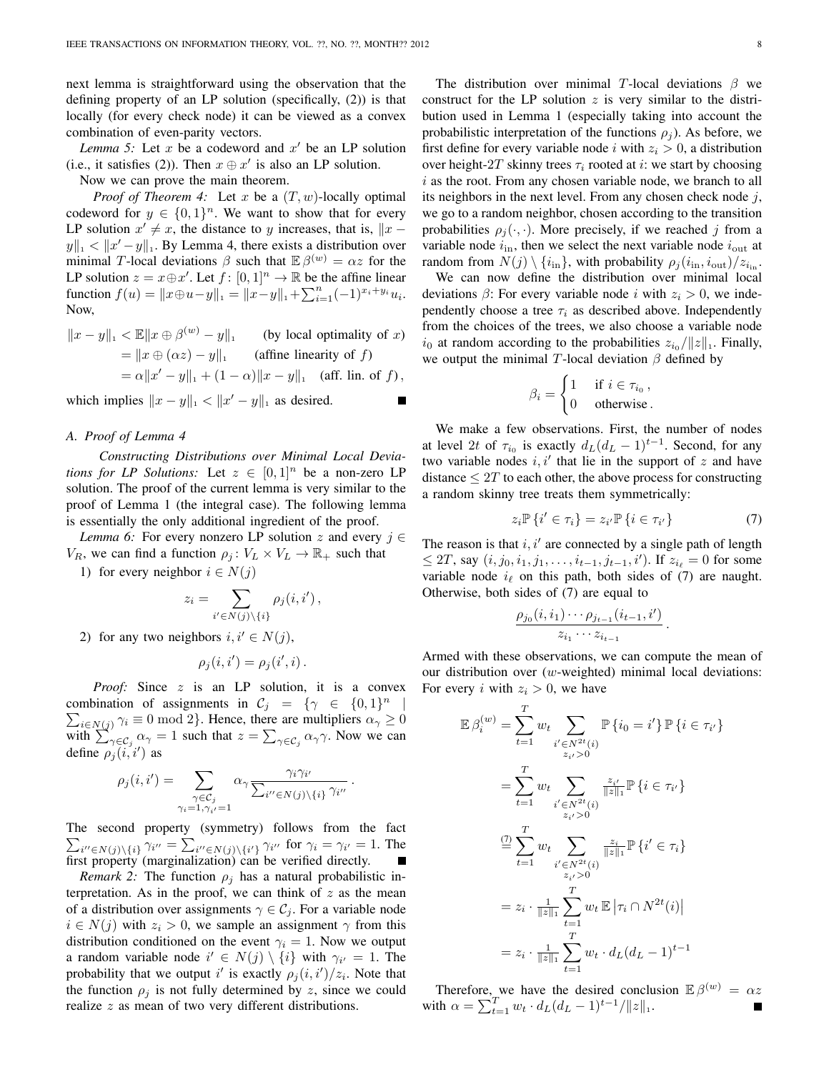next lemma is straightforward using the observation that the defining property of an LP solution (specifically, (2)) is that locally (for every check node) it can be viewed as a convex combination of even-parity vectors.

Lemma 5: Let  $x$  be a codeword and  $x'$  be an LP solution (i.e., it satisfies (2)). Then  $x \oplus x'$  is also an LP solution.

Now we can prove the main theorem.

*Proof of Theorem 4:* Let x be a  $(T, w)$ -locally optimal codeword for  $y \in \{0,1\}^n$ . We want to show that for every LP solution  $x' \neq x$ , the distance to y increases, that is,  $||x - y||$  $||y||_1 < ||x'-y||_1$ . By Lemma 4, there exists a distribution over minimal T-local deviations  $\beta$  such that  $\mathbb{E} \beta^{(w)} = \alpha z$  for the LP solution  $z = x \oplus x'$ . Let  $f : [0, 1]^n \to \mathbb{R}$  be the affine linear function  $f(u) = ||x \oplus u - y||_1 = ||x - y||_1 + \sum_{i=1}^n (-1)^{x_i + y_i} u_i.$ Now,

$$
||x - y||_1 < \mathbb{E}||x \oplus \beta^{(w)} - y||_1
$$
 (by local optimality of x)  
=  $||x \oplus (\alpha z) - y||_1$  (affine linearity of f)  
=  $\alpha ||x' - y||_1 + (1 - \alpha) ||x - y||_1$  (aff. lin. of f),

which implies  $||x - y||_1 < ||x' - y||_1$  as desired.

#### *A. Proof of Lemma 4*

*Constructing Distributions over Minimal Local Deviations for LP Solutions:* Let  $z \in [0,1]^n$  be a non-zero LP solution. The proof of the current lemma is very similar to the proof of Lemma 1 (the integral case). The following lemma is essentially the only additional ingredient of the proof.

*Lemma 6:* For every nonzero LP solution z and every  $j \in$  $V_R$ , we can find a function  $\rho_j : V_L \times V_L \to \mathbb{R}_+$  such that

1) for every neighbor  $i \in N(j)$ 

$$
z_i = \sum_{i' \in N(j) \setminus \{i\}} \rho_j(i, i'),
$$

2) for any two neighbors  $i, i' \in N(j)$ ,

$$
\rho_j(i,i') = \rho_j(i',i) \, .
$$

*Proof:* Since z is an LP solution, it is a convex combination of assignments in  $C_j = \{ \gamma \in \{0,1\}^n \}$  $\sum$ |  $i \in N(j)$   $\gamma_i \equiv 0 \mod 2$ . Hence, there are multipliers  $\alpha_{\gamma} \ge 0$ with  $\sum_{\gamma \in C_j}^{\infty} \alpha_{\gamma} = 1$  such that  $z = \sum_{\gamma \in C_j} \alpha_{\gamma} \gamma$ . Now we can define  $\rho_j(i,i')$  as

$$
\rho_j(i, i') = \sum_{\substack{\gamma \in C_j \\ \gamma_i = 1, \gamma_{i'} = 1}} \alpha_{\gamma} \frac{\gamma_i \gamma_{i'}}{\sum_{i'' \in N(j) \setminus \{i\}} \gamma_{i''}}.
$$

The second property (symmetry) follows from the fact  $\sum_{i'' \in N(j) \setminus \{i\}} \gamma_{i''} = \sum_{i'' \in N(j) \setminus \{i'\}} \gamma_{i''}$  for  $\gamma_i = \gamma_{i'} = 1$ . The first property (marginalization) can be verified directly.

*Remark 2:* The function  $\rho_j$  has a natural probabilistic interpretation. As in the proof, we can think of  $z$  as the mean of a distribution over assignments  $\gamma \in C_i$ . For a variable node  $i \in N(j)$  with  $z_i > 0$ , we sample an assignment  $\gamma$  from this distribution conditioned on the event  $\gamma_i = 1$ . Now we output a random variable node  $i' \in N(j) \setminus \{i\}$  with  $\gamma_{i'} = 1$ . The probability that we output i' is exactly  $\rho_j(i,i')/z_i$ . Note that the function  $\rho_i$  is not fully determined by z, since we could realize z as mean of two very different distributions.

The distribution over minimal T-local deviations  $\beta$  we construct for the LP solution  $z$  is very similar to the distribution used in Lemma 1 (especially taking into account the probabilistic interpretation of the functions  $\rho_i$ ). As before, we first define for every variable node i with  $z_i > 0$ , a distribution over height-2T skinny trees  $\tau_i$  rooted at *i*: we start by choosing  $i$  as the root. From any chosen variable node, we branch to all its neighbors in the next level. From any chosen check node  $j$ , we go to a random neighbor, chosen according to the transition probabilities  $\rho_j(\cdot, \cdot)$ . More precisely, if we reached j from a variable node  $i_{\rm in}$ , then we select the next variable node  $i_{\rm out}$  at random from  $N(j) \setminus \{i_{\rm in}\}\$ , with probability  $\rho_i(i_{\rm in}, i_{\rm out})/z_{i_{\rm in}}$ .

We can now define the distribution over minimal local deviations  $\beta$ : For every variable node *i* with  $z_i > 0$ , we independently choose a tree  $\tau_i$  as described above. Independently from the choices of the trees, we also choose a variable node  $i_0$  at random according to the probabilities  $z_{i_0}/||z||_1$ . Finally, we output the minimal T-local deviation  $\beta$  defined by

$$
\beta_i = \begin{cases} 1 & \text{if } i \in \tau_{i_0}, \\ 0 & \text{otherwise}. \end{cases}
$$

We make a few observations. First, the number of nodes at level 2t of  $\tau_{i_0}$  is exactly  $d_L(d_L - 1)^{t-1}$ . Second, for any two variable nodes  $i, i'$  that lie in the support of z and have distance  $\leq 2T$  to each other, the above process for constructing a random skinny tree treats them symmetrically:

$$
z_i \mathbb{P} \left\{ i' \in \tau_i \right\} = z_{i'} \mathbb{P} \left\{ i \in \tau_{i'} \right\} \tag{7}
$$

The reason is that  $i, i'$  are connected by a single path of length  $\leq 2T$ , say  $(i, j_0, i_1, j_1, \ldots, i_{t-1}, j_{t-1}, i')$ . If  $z_{i_\ell} = 0$  for some variable node  $i_\ell$  on this path, both sides of (7) are naught. Otherwise, both sides of (7) are equal to

$$
\frac{\rho_{j_0}(i,i_1)\cdots \rho_{j_{t-1}}(i_{t-1},i')}{z_{i_1}\cdots z_{i_{t-1}}}.
$$

Armed with these observations, we can compute the mean of our distribution over (w-weighted) minimal local deviations: For every i with  $z_i > 0$ , we have

$$
\mathbb{E} \beta_i^{(w)} = \sum_{t=1}^T w_t \sum_{i' \in N^{2t}(i)} \mathbb{P} \{i_0 = i' \} \mathbb{P} \{i \in \tau_{i'}\}
$$
\n
$$
= \sum_{t=1}^T w_t \sum_{i' \in N^{2t}(i)} \frac{z_{i'}}{\|z\|_1} \mathbb{P} \{i \in \tau_{i'}\}
$$
\n
$$
\overset{(7)}{=} \sum_{t=1}^T w_t \sum_{i' \in N^{2t}(i)} \frac{z_{i'}}{\|z\|_1} \mathbb{P} \{i' \in \tau_i\}
$$
\n
$$
\overset{(7)}{=} \sum_{i=1}^T w_t \sum_{i' \in N^{2t}(i)} \frac{z_{i}}{\|z\|_1} \mathbb{P} \{i' \in \tau_i\}
$$
\n
$$
= z_i \cdot \frac{1}{\|z\|_1} \sum_{t=1}^T w_t \mathbb{E} \left|\tau_i \cap N^{2t}(i)\right|
$$
\n
$$
= z_i \cdot \frac{1}{\|z\|_1} \sum_{t=1}^T w_t \cdot d_L (d_L - 1)^{t-1}
$$

Therefore, we have the desired conclusion  $\mathbb{E} \beta^{(w)} = \alpha z$ with  $\alpha = \sum_{t=1}^{T} w_t \cdot d_L (d_L - 1)^{t-1} / ||z||_1$ .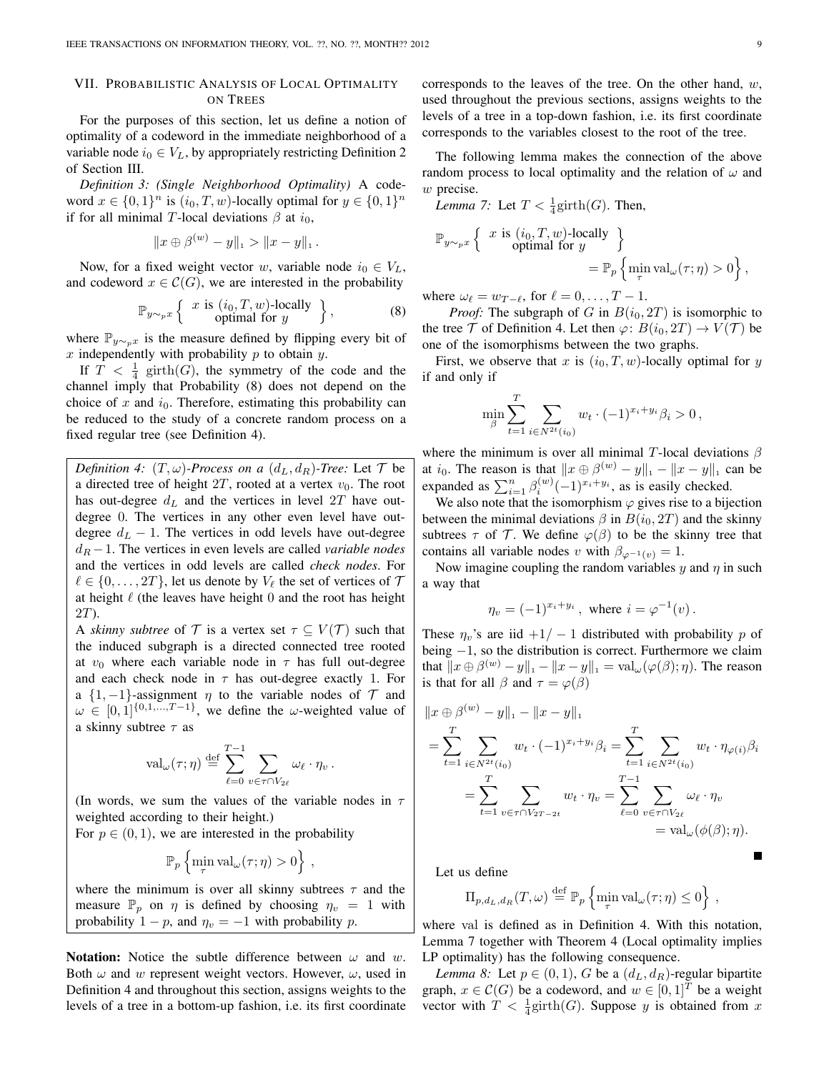# VII. PROBABILISTIC ANALYSIS OF LOCAL OPTIMALITY ON TREES

For the purposes of this section, let us define a notion of optimality of a codeword in the immediate neighborhood of a variable node  $i_0 \in V_L$ , by appropriately restricting Definition 2 of Section III.

*Definition 3: (Single Neighborhood Optimality)* A codeword  $x \in \{0,1\}^n$  is  $(i_0, T, w)$ -locally optimal for  $y \in \{0,1\}^n$ if for all minimal T-local deviations  $\beta$  at  $i_0$ ,

$$
||x \oplus \beta^{(w)} - y||_1 > ||x - y||_1.
$$

Now, for a fixed weight vector w, variable node  $i_0 \in V_L$ , and codeword  $x \in \mathcal{C}(G)$ , we are interested in the probability

$$
\mathbb{P}_{y \sim_{p} x} \left\{ x \text{ is } (i_0, T, w)\text{-locally } \right\},\tag{8}
$$
 optimal for  $y$ 

where  $\mathbb{P}_{y \sim_p x}$  is the measure defined by flipping every bit of  $x$  independently with probability  $p$  to obtain  $y$ .

If  $T < \frac{1}{4}$  girth(G), the symmetry of the code and the channel imply that Probability (8) does not depend on the choice of x and  $i_0$ . Therefore, estimating this probability can be reduced to the study of a concrete random process on a fixed regular tree (see Definition 4).

*Definition 4:*  $(T, \omega)$ *-Process on a*  $(d_L, d_R)$ *-Tree:* Let  $T$  be a directed tree of height  $2T$ , rooted at a vertex  $v_0$ . The root has out-degree  $d<sub>L</sub>$  and the vertices in level 2T have outdegree 0. The vertices in any other even level have outdegree  $d<sub>L</sub> - 1$ . The vertices in odd levels have out-degree  $d_R - 1$ . The vertices in even levels are called *variable nodes* and the vertices in odd levels are called *check nodes*. For  $\ell \in \{0, \ldots, 2T\}$ , let us denote by  $V_{\ell}$  the set of vertices of  $\mathcal{T}$ at height  $\ell$  (the leaves have height 0 and the root has height 2T).

A *skinny subtree* of T is a vertex set  $\tau \subseteq V(\mathcal{T})$  such that the induced subgraph is a directed connected tree rooted at  $v_0$  where each variable node in  $\tau$  has full out-degree and each check node in  $\tau$  has out-degree exactly 1. For a  $\{1, -1\}$ -assignment  $\eta$  to the variable nodes of  $\mathcal T$  and  $\omega \in [0,1]^{0,1,\dots,T-1}$ , we define the  $\omega$ -weighted value of a skinny subtree  $\tau$  as

$$
\mathrm{val}_{\omega}(\tau;\eta) \stackrel{\text{def}}{=} \sum_{\ell=0}^{T-1} \sum_{v \in \tau \cap V_{2\ell}} \omega_{\ell} \cdot \eta_v \, .
$$

(In words, we sum the values of the variable nodes in  $\tau$ weighted according to their height.)

For  $p \in (0, 1)$ , we are interested in the probability

$$
\mathbb{P}_p \left\{ \min_{\tau} \operatorname{val}_{\omega}(\tau; \eta) > 0 \right\},\,
$$

where the minimum is over all skinny subtrees  $\tau$  and the measure  $\mathbb{P}_p$  on  $\eta$  is defined by choosing  $\eta_v = 1$  with probability  $1 - p$ , and  $\eta_v = -1$  with probability p.

**Notation:** Notice the subtle difference between  $\omega$  and  $w$ . Both  $\omega$  and  $w$  represent weight vectors. However,  $\omega$ , used in Definition 4 and throughout this section, assigns weights to the levels of a tree in a bottom-up fashion, i.e. its first coordinate corresponds to the leaves of the tree. On the other hand,  $w$ , used throughout the previous sections, assigns weights to the levels of a tree in a top-down fashion, i.e. its first coordinate corresponds to the variables closest to the root of the tree.

The following lemma makes the connection of the above random process to local optimality and the relation of  $\omega$  and w precise.

*Lemma 7:* Let  $T < \frac{1}{4}$  girth(*G*). Then,

$$
\mathbb{P}_{y \sim_{p} x} \left\{ \begin{array}{c} x \text{ is } (i_0, T, w)\text{-locally} \\ \text{optimal for } y \end{array} \right\}
$$

$$
= \mathbb{P}_p \left\{ \min_{\tau} \text{val}_{\omega}(\tau; \eta) > 0 \right\},
$$

where  $\omega_{\ell} = w_{T-\ell}$ , for  $\ell = 0, \ldots, T-1$ .

*Proof:* The subgraph of G in  $B(i_0, 2T)$  is isomorphic to the tree  $\mathcal T$  of Definition 4. Let then  $\varphi: B(i_0, 2T) \to V(\mathcal T)$  be one of the isomorphisms between the two graphs.

First, we observe that x is  $(i_0, T, w)$ -locally optimal for y if and only if

$$
\min_{\beta} \sum_{t=1}^{T} \sum_{i \in N^{2t}(i_0)} w_t \cdot (-1)^{x_i + y_i} \beta_i > 0,
$$

where the minimum is over all minimal T-local deviations  $\beta$ at i<sub>0</sub>. The reason is that  $||x \oplus \beta^{(w)} - y||_1 - ||x - y||_1$  can be expanded as  $\sum_{i=1}^{n} \beta_i^{(w)} (-1)^{x_i+y_i}$ , as is easily checked.

We also note that the isomorphism  $\varphi$  gives rise to a bijection between the minimal deviations  $\beta$  in  $B(i_0, 2T)$  and the skinny subtrees  $\tau$  of  $\mathcal T$ . We define  $\varphi(\beta)$  to be the skinny tree that contains all variable nodes v with  $\beta_{\varphi^{-1}(v)} = 1$ .

Now imagine coupling the random variables  $y$  and  $\eta$  in such a way that

$$
\eta_v = (-1)^{x_i + y_i}
$$
, where  $i = \varphi^{-1}(v)$ .

These  $\eta_v$ 's are iid  $+1/-1$  distributed with probability p of being −1, so the distribution is correct. Furthermore we claim that  $||x \oplus \beta^{(w)} - y||_1 - ||x - y||_1 = \text{val}_{\omega}(\varphi(\beta); \eta)$ . The reason is that for all  $\beta$  and  $\tau = \varphi(\beta)$ 

$$
||x \oplus \beta^{(w)} - y||_1 - ||x - y||_1
$$
  
=  $\sum_{t=1}^{T} \sum_{i \in N^{2t}(i_0)} w_t \cdot (-1)^{x_i + y_i} \beta_i = \sum_{t=1}^{T} \sum_{i \in N^{2t}(i_0)} w_t \cdot \eta_{\varphi(i)} \beta_i$   
=  $\sum_{t=1}^{T} \sum_{v \in \tau \cap V_{2T - 2t}} w_t \cdot \eta_v = \sum_{\ell=0}^{T-1} \sum_{v \in \tau \cap V_{2\ell}} \omega_\ell \cdot \eta_v$   
=  $\text{val}_{\omega}(\phi(\beta); \eta).$ 

Let us define

$$
\Pi_{p,d_L,d_R}(T,\omega) \stackrel{\text{def}}{=} \mathbb{P}_p \left\{ \min_{\tau} \text{val}_{\omega}(\tau;\eta) \leq 0 \right\},\,
$$

where val is defined as in Definition 4. With this notation, Lemma 7 together with Theorem 4 (Local optimality implies LP optimality) has the following consequence.

*Lemma 8:* Let  $p \in (0, 1)$ , G be a  $(d_L, d_R)$ -regular bipartite graph,  $x \in \mathcal{C}(G)$  be a codeword, and  $w \in [0,1]^T$  be a weight vector with  $T < \frac{1}{4}$ girth(G). Suppose y is obtained from x

П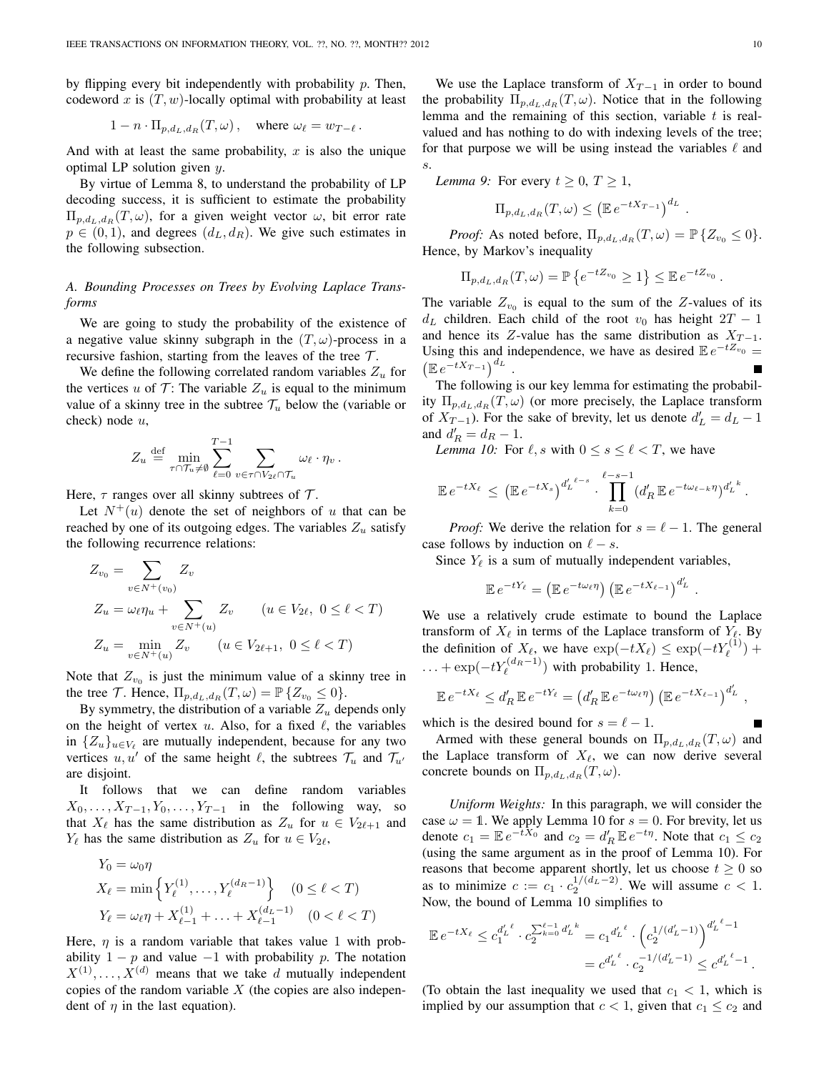by flipping every bit independently with probability  $p$ . Then, codeword x is  $(T, w)$ -locally optimal with probability at least

$$
1 - n \cdot \Pi_{p,d_L,d_R}(T,\omega) , \quad \text{where } \omega_\ell = w_{T-\ell} .
$$

And with at least the same probability,  $x$  is also the unique optimal LP solution given  $y$ .

By virtue of Lemma 8, to understand the probability of LP decoding success, it is sufficient to estimate the probability  $\Pi_{p,d_L,d_R}(T,\omega)$ , for a given weight vector  $\omega$ , bit error rate  $p \in (0, 1)$ , and degrees  $(d_L, d_R)$ . We give such estimates in the following subsection.

# *A. Bounding Processes on Trees by Evolving Laplace Transforms*

We are going to study the probability of the existence of a negative value skinny subgraph in the  $(T, \omega)$ -process in a recursive fashion, starting from the leaves of the tree  $\mathcal{T}$ .

We define the following correlated random variables  $Z_u$  for the vertices u of  $\mathcal{T}$ : The variable  $Z_u$  is equal to the minimum value of a skinny tree in the subtree  $\mathcal{T}_u$  below the (variable or check) node u,

$$
Z_u \stackrel{\text{def}}{=} \min_{\tau \cap \mathcal{T}_u \neq \emptyset} \sum_{\ell=0}^{T-1} \sum_{v \in \tau \cap V_{2\ell} \cap \mathcal{T}_u} \omega_{\ell} \cdot \eta_v \, .
$$

Here,  $\tau$  ranges over all skinny subtrees of  $\mathcal{T}$ .

Let  $N^+(u)$  denote the set of neighbors of u that can be reached by one of its outgoing edges. The variables  $Z_u$  satisfy the following recurrence relations:

$$
Z_{v_0} = \sum_{v \in N^+(v_0)} Z_v
$$
  
\n
$$
Z_u = \omega_{\ell} \eta_u + \sum_{v \in N^+(u)} Z_v \qquad (u \in V_{2\ell}, 0 \le \ell < T)
$$
  
\n
$$
Z_u = \min_{v \in N^+(u)} Z_v \qquad (u \in V_{2\ell+1}, 0 \le \ell < T)
$$

Note that  $Z_{v_0}$  is just the minimum value of a skinny tree in the tree T. Hence,  $\Pi_{p,d_L,d_R}(T,\omega) = \mathbb{P}\{Z_{v_0} \leq 0\}.$ 

By symmetry, the distribution of a variable  $Z_u$  depends only on the height of vertex  $u$ . Also, for a fixed  $\ell$ , the variables in  ${Z_u}_{u \in V_\ell}$  are mutually independent, because for any two vertices  $u, u'$  of the same height  $\ell$ , the subtrees  $\mathcal{T}_u$  and  $\mathcal{T}_{u'}$ are disjoint.

It follows that we can define random variables  $X_0, \ldots, X_{T-1}, Y_0, \ldots, Y_{T-1}$  in the following way, so that  $X_\ell$  has the same distribution as  $Z_u$  for  $u \in V_{2\ell+1}$  and  $Y_\ell$  has the same distribution as  $Z_u$  for  $u \in V_{2\ell}$ ,

$$
Y_0 = \omega_0 \eta
$$
  
\n
$$
X_{\ell} = \min \left\{ Y_{\ell}^{(1)}, \dots, Y_{\ell}^{(d_R - 1)} \right\} \quad (0 \le \ell < T)
$$
  
\n
$$
Y_{\ell} = \omega_{\ell} \eta + X_{\ell-1}^{(1)} + \dots + X_{\ell-1}^{(d_L - 1)} \quad (0 < \ell < T)
$$

Here,  $\eta$  is a random variable that takes value 1 with probability  $1 - p$  and value  $-1$  with probability p. The notation  $X^{(1)}, \ldots, X^{(d)}$  means that we take d mutually independent copies of the random variable  $X$  (the copies are also independent of  $\eta$  in the last equation).

We use the Laplace transform of  $X_{T-1}$  in order to bound the probability  $\Pi_{p,d_L,d_R}(T,\omega)$ . Notice that in the following lemma and the remaining of this section, variable  $t$  is realvalued and has nothing to do with indexing levels of the tree; for that purpose we will be using instead the variables  $\ell$  and s.

*Lemma 9:* For every  $t \geq 0$ ,  $T \geq 1$ ,

$$
\Pi_{p,d_L,d_R}(T,\omega) \leq (\mathbb{E} e^{-tX_{T-1}})^{d_L}.
$$

*Proof:* As noted before,  $\Pi_{p,d_L,d_R}(T,\omega) = \mathbb{P}\{Z_{v_0} \leq 0\}.$ Hence, by Markov's inequality

$$
\Pi_{p,d_L,d_R}(T,\omega) = \mathbb{P}\left\{e^{-tZ_{v_0}} \ge 1\right\} \le \mathbb{E} \, e^{-tZ_{v_0}} \, .
$$

The variable  $Z_{v_0}$  is equal to the sum of the Z-values of its  $d<sub>L</sub>$  children. Each child of the root  $v<sub>0</sub>$  has height  $2T - 1$ and hence its Z-value has the same distribution as  $X_{T-1}$ . Using this and independence, we have as desired  $\mathbb{E}e^{-tZ_{v_0}} =$  $\left(\mathbb{E}e^{-tX_{T-1}}\right)^{d_L}$ .

The following is our key lemma for estimating the probability  $\Pi_{p,d_L,d_R}(T,\omega)$  (or more precisely, the Laplace transform of  $X_{T-1}$ ). For the sake of brevity, let us denote  $d'_L = d_L - 1$ and  $d'_{R} = d_{R} - 1$ .

*Lemma 10:* For  $\ell$ , s with  $0 \le s \le \ell < T$ , we have

$$
\mathbb{E} e^{-tX_{\ell}} \leq (\mathbb{E} e^{-tX_s})^{d'_L^{\ell-s}} \cdot \prod_{k=0}^{\ell-s-1} (d'_R \mathbb{E} e^{-t\omega_{\ell-k}\eta})^{d'_L^k}.
$$

*Proof:* We derive the relation for  $s = \ell - 1$ . The general case follows by induction on  $\ell - s$ .

Since  $Y_\ell$  is a sum of mutually independent variables,

$$
\mathbb{E} e^{-tY_{\ell}} = (\mathbb{E} e^{-t\omega_{\ell}\eta}) (\mathbb{E} e^{-tX_{\ell-1}})^{d'_{L}}.
$$

We use a relatively crude estimate to bound the Laplace transform of  $X_\ell$  in terms of the Laplace transform of  $Y_\ell$ . By the definition of  $X_{\ell}$ , we have  $\exp(-tX_{\ell}) \leq \exp(-tY_{\ell}^{(1)}) +$  $\dots + \exp(-tY_{\ell}^{(d_R-1)})$  with probability 1. Hence,

$$
\mathbb{E} e^{-tX_{\ell}} \le d'_R \mathbb{E} e^{-tY_{\ell}} = (d'_R \mathbb{E} e^{-t\omega_{\ell}\eta}) (\mathbb{E} e^{-tX_{\ell-1}})^{d'_L},
$$

which is the desired bound for  $s = \ell - 1$ .

Armed with these general bounds on  $\Pi_{p,d_L,d_R}(T,\omega)$  and the Laplace transform of  $X_{\ell}$ , we can now derive several concrete bounds on  $\Pi_{p,d_L,d_R}(T,\omega)$ .

*Uniform Weights:* In this paragraph, we will consider the case  $\omega = 1$ . We apply Lemma 10 for  $s = 0$ . For brevity, let us denote  $c_1 = \mathbb{E} e^{-tX_0}$  and  $c_2 = d'_R \mathbb{E} e^{-t\eta}$ . Note that  $c_1 \le c_2$ (using the same argument as in the proof of Lemma 10). For reasons that become apparent shortly, let us choose  $t \geq 0$  so as to minimize  $c := c_1 \cdot c_2^{1/(d_L - 2)}$ . We will assume  $c < 1$ . Now, the bound of Lemma 10 simplifies to

$$
\mathbb{E} e^{-tX_{\ell}} \leq c_1^{d'_L{}^{\ell}} \cdot c_2^{\sum_{k=0}^{\ell-1} d'_L{}^k} = c_1^{d'_L{}^{\ell}} \cdot \left( c_2^{1/(d'_L-1)} \right)^{d'_L{}^{\ell}-1}
$$
  
=  $c^{d'_L{}^{\ell}} \cdot c_2^{-1/(d'_L-1)} \leq c^{d'_L{}^{\ell}-1}.$ 

(To obtain the last inequality we used that  $c_1 < 1$ , which is implied by our assumption that  $c < 1$ , given that  $c_1 \leq c_2$  and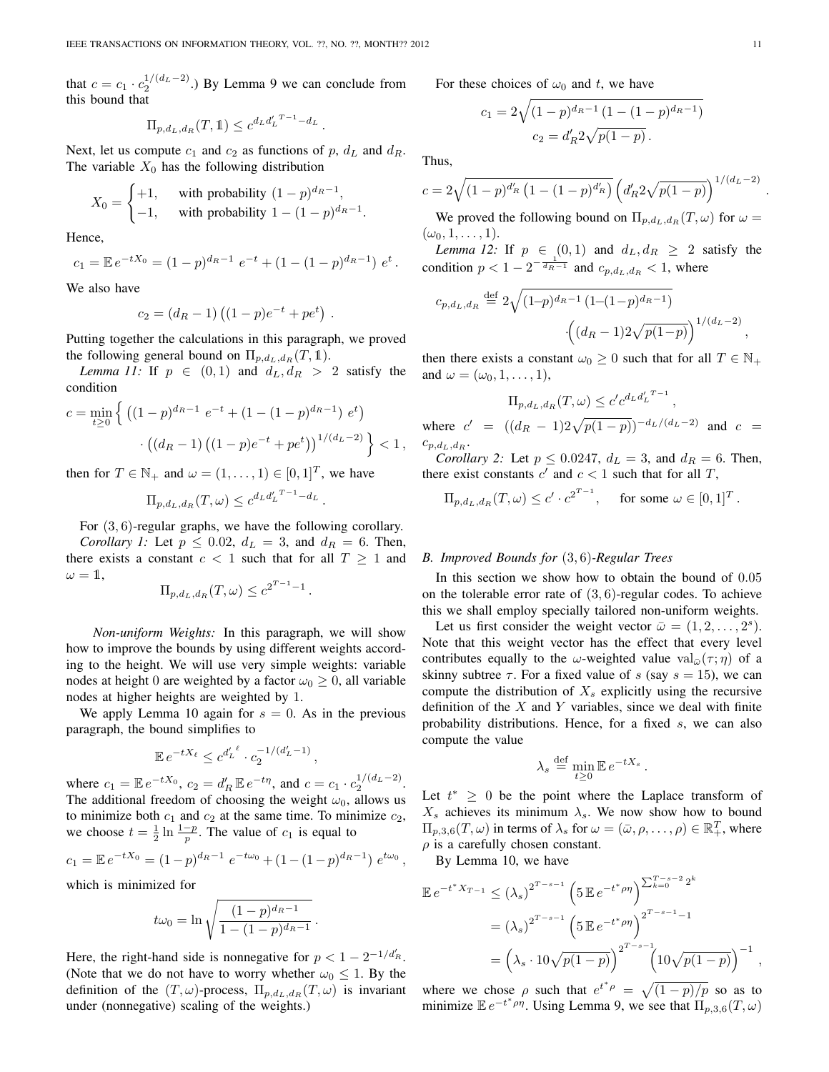that  $c = c_1 \cdot c_2^{1/(d_L - 2)}$ .) By Lemma 9 we can conclude from this bound that

$$
\Pi_{p,d_L,d_R}(T,\mathbb{1}) \leq c^{d_L d'_L T - 1} - d_L.
$$

Next, let us compute  $c_1$  and  $c_2$  as functions of p,  $d_L$  and  $d_R$ . The variable  $X_0$  has the following distribution

$$
X_0 = \begin{cases} +1, & \text{with probability } (1-p)^{d_R - 1}, \\ -1, & \text{with probability } 1 - (1-p)^{d_R - 1}. \end{cases}
$$

Hence,

$$
c_1 = \mathbb{E} e^{-tX_0} = (1-p)^{d_R-1} e^{-t} + (1-(1-p)^{d_R-1}) e^t.
$$

We also have

$$
c_2 = (d_R - 1) ((1 - p)e^{-t} + pe^t).
$$

Putting together the calculations in this paragraph, we proved the following general bound on  $\Pi_{p,d_L,d_R}(T, \mathbb{1}).$ 

*Lemma 11:* If  $p \in (0,1)$  and  $d_L, d_R > 2$  satisfy the condition

$$
c = \min_{t \ge 0} \left\{ \left( (1-p)^{d_R - 1} e^{-t} + (1 - (1-p)^{d_R - 1}) e^t \right) \right. \\ \left. \left. \left( (d_R - 1) \left( (1-p)e^{-t} + pe^t \right) \right)^{1/(d_L - 2)} \right\} < 1 \,,
$$

then for  $T \in \mathbb{N}_+$  and  $\omega = (1, \dots, 1) \in [0, 1]^T$ , we have

$$
\Pi_{p,d_L,d_R}(T,\omega) \leq c^{d_L d_L^{T-1}-d_L}.
$$

For (3, 6)-regular graphs, we have the following corollary.

*Corollary 1:* Let  $p \le 0.02$ ,  $d_L = 3$ , and  $d_R = 6$ . Then, there exists a constant  $c < 1$  such that for all  $T \ge 1$  and  $\omega = 1$ ,

$$
\Pi_{p,d_L,d_R}(T,\omega) \leq c^{2^{T-1}-1}
$$

.

*Non-uniform Weights:* In this paragraph, we will show how to improve the bounds by using different weights according to the height. We will use very simple weights: variable nodes at height 0 are weighted by a factor  $\omega_0 \geq 0$ , all variable nodes at higher heights are weighted by 1.

We apply Lemma 10 again for  $s = 0$ . As in the previous paragraph, the bound simplifies to

$$
\mathbb{E} e^{-tX_{\ell}} \leq c^{d'_{L}{}^{\ell}} \cdot c_{2}^{-1/(d'_{L}-1)},
$$

where  $c_1 = \mathbb{E} e^{-tX_0}$ ,  $c_2 = d'_R \mathbb{E} e^{-t\eta}$ , and  $c = c_1 \cdot c_2^{1/(d_L - 2)}$ . The additional freedom of choosing the weight  $\omega_0$ , allows us to minimize both  $c_1$  and  $c_2$  at the same time. To minimize  $c_2$ , we choose  $t = \frac{1}{2} \ln \frac{1-p}{p}$ . The value of  $c_1$  is equal to

$$
c_1 = \mathbb{E} e^{-tX_0} = (1-p)^{d_R-1} e^{-t\omega_0} + (1 - (1-p)^{d_R-1}) e^{t\omega_0},
$$

which is minimized for

$$
t\omega_0 = \ln \sqrt{\frac{(1-p)^{d_R-1}}{1-(1-p)^{d_R-1}}}.
$$

Here, the right-hand side is nonnegative for  $p < 1 - 2^{-1/d'_R}$ . (Note that we do not have to worry whether  $\omega_0 \leq 1$ . By the definition of the  $(T, \omega)$ -process,  $\Pi_{p,d_L,d_R}(T, \omega)$  is invariant under (nonnegative) scaling of the weights.)

For these choices of  $\omega_0$  and t, we have

$$
c_1 = 2\sqrt{(1-p)^{d_R-1}(1-(1-p)^{d_R-1})}
$$

$$
c_2 = d'_R 2\sqrt{p(1-p)}.
$$

Thus,

$$
c = 2\sqrt{(1-p)^{d'_R} (1 - (1-p)^{d'_R})} \left(d'_R 2\sqrt{p(1-p)}\right)^{1/(d_L-2)}
$$

We proved the following bound on  $\Pi_{p,d_L,d_R}(T,\omega)$  for  $\omega =$  $(\omega_0, 1, \ldots, 1).$ 

*Lemma 12:* If  $p \in (0,1)$  and  $d_L, d_R \geq 2$  satisfy the condition  $p < 1 - 2^{-\frac{1}{d_R - 1}}$  and  $c_{p,d_L,d_R} < 1$ , where

$$
c_{p,d_L,d_R} \stackrel{\text{def}}{=} 2\sqrt{(1-p)^{d_R-1} (1-(1-p)^{d_R-1})} \cdot \left( (d_R-1)2\sqrt{p(1-p)} \right)^{1/(d_L-2)},
$$

then there exists a constant  $\omega_0 \geq 0$  such that for all  $T \in \mathbb{N}_+$ and  $\omega = (\omega_0, 1, \ldots, 1)$ ,

$$
\Pi_{p,d_L,d_R}(T,\omega) \le c' c^{d_L d'_L T - 1},
$$

where  $c' = ((d_R - 1)2\sqrt{p(1-p)})^{-d_L/(d_L-2)}$  and  $c =$  $c_{p,d_L,d_R}$ .

*Corollary 2:* Let  $p \le 0.0247$ ,  $d_L = 3$ , and  $d_R = 6$ . Then, there exist constants  $c'$  and  $c < 1$  such that for all T,

$$
\Pi_{p,d_L,d_R}(T,\omega) \le c' \cdot c^{2^{T-1}}, \quad \text{for some } \omega \in [0,1]^T.
$$

# *B. Improved Bounds for* (3, 6)*-Regular Trees*

In this section we show how to obtain the bound of 0.05 on the tolerable error rate of  $(3, 6)$ -regular codes. To achieve this we shall employ specially tailored non-uniform weights.

Let us first consider the weight vector  $\bar{\omega} = (1, 2, \dots, 2^s)$ . Note that this weight vector has the effect that every level contributes equally to the  $\omega$ -weighted value val $_{\bar{\omega}}(\tau;\eta)$  of a skinny subtree  $\tau$ . For a fixed value of s (say  $s = 15$ ), we can compute the distribution of  $X_s$  explicitly using the recursive definition of the  $X$  and  $Y$  variables, since we deal with finite probability distributions. Hence, for a fixed s, we can also compute the value

$$
\lambda_s \stackrel{\text{def}}{=} \min_{t \ge 0} \mathbb{E} e^{-tX_s}.
$$

Let  $t^* \geq 0$  be the point where the Laplace transform of  $X_s$  achieves its minimum  $\lambda_s$ . We now show how to bound  $\Pi_{p,3,6}(T,\omega)$  in terms of  $\lambda_s$  for  $\omega = (\bar{\omega}, \rho, \dots, \rho) \in \mathbb{R}_+^T$ , where  $\rho$  is a carefully chosen constant.

By Lemma 10, we have

$$
\mathbb{E} e^{-t^* X_{T-1}} \le (\lambda_s)^{2^{T-s-1}} \left(5 \mathbb{E} e^{-t^* \rho \eta} \right)^{\sum_{k=0}^{T-s-2} 2^k}
$$
  
=  $(\lambda_s)^{2^{T-s-1}} \left(5 \mathbb{E} e^{-t^* \rho \eta} \right)^{2^{T-s-1}-1}$   
=  $\left(\lambda_s \cdot 10\sqrt{p(1-p)} \right)^{2^{T-s-1}} \left(10\sqrt{p(1-p)} \right)^{-1}$ ,

where we chose  $\rho$  such that  $e^{t^*\rho} = \sqrt{(1-p)/p}$  so as to minimize  $\mathbb{E} e^{-t^* \rho \eta}$ . Using Lemma 9, we see that  $\Pi_{p,3,6}(T,\omega)$ 

.